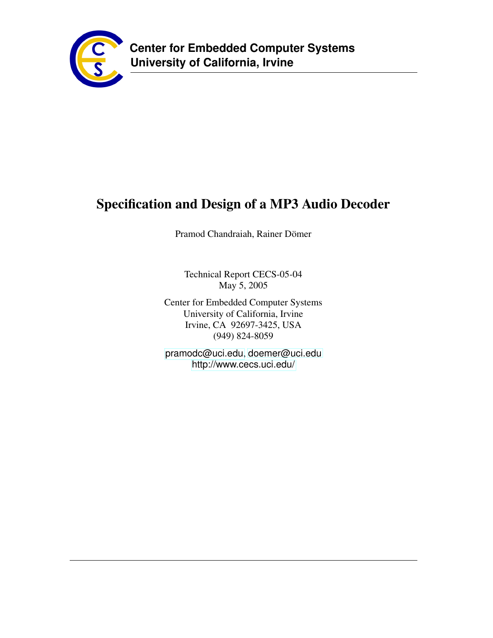

# **Specification and Design of a MP3 Audio Decoder**

Pramod Chandraiah, Rainer Dömer

Technical Report CECS-05-04 May 5, 2005

Center for Embedded Computer Systems University of California, Irvine Irvine, CA 92697-3425, USA (949) 824-8059

<pramodc@uci.edu>, <doemer@uci.edu> <http://www.cecs.uci.edu/>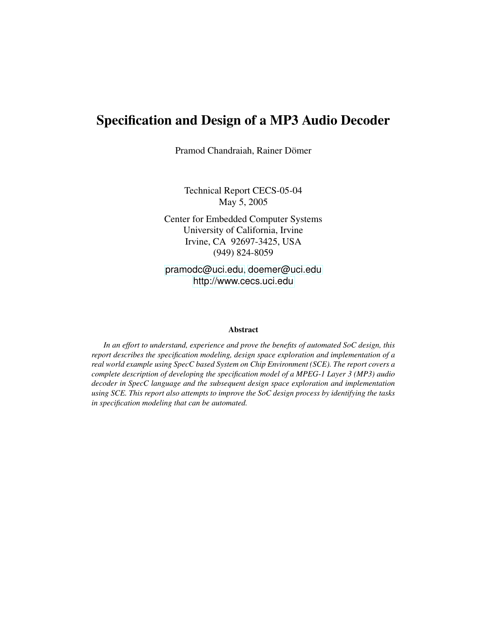# **Specification and Design of a MP3 Audio Decoder**

Pramod Chandraiah, Rainer Dömer

Technical Report CECS-05-04 May 5, 2005

Center for Embedded Computer Systems University of California, Irvine Irvine, CA 92697-3425, USA (949) 824-8059

<pramodc@uci.edu>, <doemer@uci.edu> <http://www.cecs.uci.edu>

#### **Abstract**

*In an effort to understand, experience and prove the benefits of automated SoC design, this report describes the specification modeling, design space exploration and implementation of a real world example using SpecC based System on Chip Environment (SCE). The report covers a complete description of developing the specification model of a MPEG-1 Layer 3 (MP3) audio decoder in SpecC language and the subsequent design space exploration and implementation using SCE. This report also attempts to improve the SoC design process by identifying the tasks in specification modeling that can be automated.*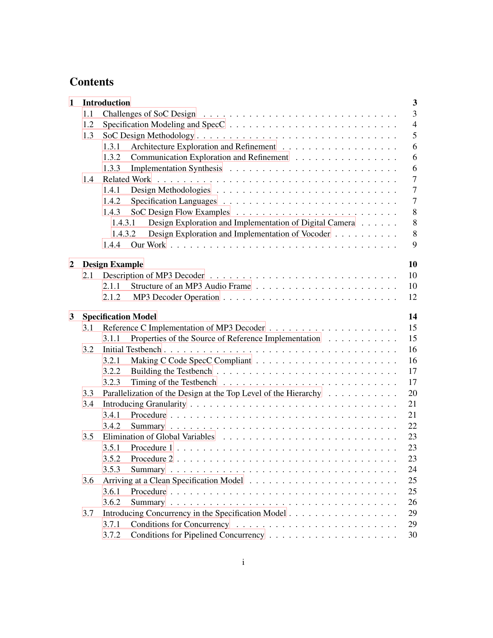# **Contents**

| $\mathbf{1}$ |     | <b>Introduction</b><br>$\mathbf{3}$                                         |
|--------------|-----|-----------------------------------------------------------------------------|
|              | 1.1 | $\mathfrak{Z}$                                                              |
|              | 1.2 | $\overline{4}$                                                              |
|              | 1.3 | 5                                                                           |
|              |     | 6<br>1.3.1                                                                  |
|              |     | Communication Exploration and Refinement<br>6<br>1.3.2                      |
|              |     | 1.3.3<br>6                                                                  |
|              | 1.4 | $\overline{7}$                                                              |
|              |     | $\overline{7}$<br>1.4.1                                                     |
|              |     | $\overline{7}$<br>1.4.2                                                     |
|              |     | 8<br>1.4.3                                                                  |
|              |     | Design Exploration and Implementation of Digital Camera<br>$8\,$<br>1.4.3.1 |
|              |     | $8\,$<br>Design Exploration and Implementation of Vocoder<br>1.4.3.2        |
|              |     | 9<br>1.4.4                                                                  |
| 2            |     | 10<br><b>Design Example</b>                                                 |
|              | 2.1 | 10                                                                          |
|              |     | 10<br>2.1.1                                                                 |
|              |     | 12<br>2.1.2                                                                 |
|              |     |                                                                             |
| 3            |     | 14<br><b>Specification Model</b>                                            |
|              | 3.1 | 15                                                                          |
|              |     | 15<br>Properties of the Source of Reference Implementation<br>3.1.1         |
|              | 3.2 | 16                                                                          |
|              |     | 16<br>3.2.1                                                                 |
|              |     | 17<br>3.2.2                                                                 |
|              |     | 17<br>3.2.3                                                                 |
|              | 3.3 | Parallelization of the Design at the Top Level of the Hierarchy<br>20       |
|              | 3.4 | 21                                                                          |
|              |     | 3.4.1<br>21                                                                 |
|              |     | 22<br>3.4.2                                                                 |
|              | 3.5 | 23                                                                          |
|              |     | 23<br>3.5.1                                                                 |
|              |     | 23<br>3.5.2                                                                 |
|              |     | 3.5.3<br>24                                                                 |
|              | 3.6 | 25                                                                          |
|              |     | 3.6.1<br>25                                                                 |
|              |     | 3.6.2<br>26                                                                 |
|              | 3.7 | Introducing Concurrency in the Specification Model<br>29                    |
|              |     | 3.7.1<br>29                                                                 |
|              |     | 3.7.2<br>30                                                                 |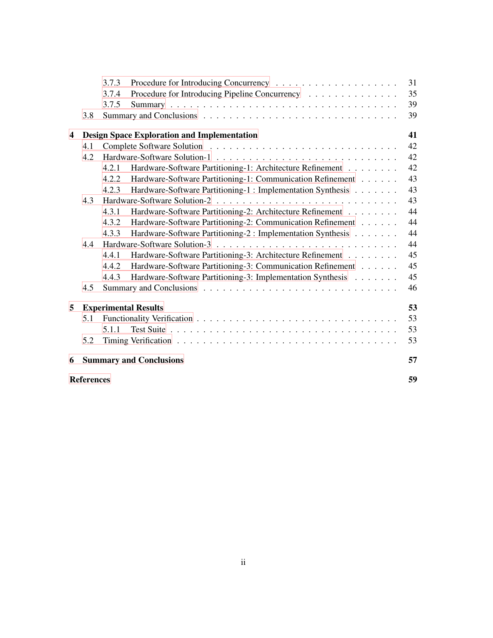|   |                         | 3.7.3 |                                                             | 31 |  |  |
|---|-------------------------|-------|-------------------------------------------------------------|----|--|--|
|   |                         | 3.7.4 | Procedure for Introducing Pipeline Concurrency              | 35 |  |  |
|   |                         | 3.7.5 |                                                             | 39 |  |  |
|   | 3.8                     |       |                                                             | 39 |  |  |
| 4 |                         |       | <b>Design Space Exploration and Implementation</b>          | 41 |  |  |
|   | 4.1                     |       |                                                             | 42 |  |  |
|   | 4.2                     |       |                                                             | 42 |  |  |
|   |                         | 4.2.1 | Hardware-Software Partitioning-1: Architecture Refinement   | 42 |  |  |
|   |                         | 4.2.2 | Hardware-Software Partitioning-1: Communication Refinement  | 43 |  |  |
|   |                         | 4.2.3 | Hardware-Software Partitioning-1: Implementation Synthesis  | 43 |  |  |
|   | 4.3                     |       |                                                             | 43 |  |  |
|   |                         | 4.3.1 | Hardware-Software Partitioning-2: Architecture Refinement   | 44 |  |  |
|   |                         | 4.3.2 | Hardware-Software Partitioning-2: Communication Refinement  | 44 |  |  |
|   |                         | 4.3.3 | Hardware-Software Partitioning-2 : Implementation Synthesis | 44 |  |  |
|   | 4.4                     |       |                                                             | 44 |  |  |
|   |                         | 4.4.1 | Hardware-Software Partitioning-3: Architecture Refinement   | 45 |  |  |
|   |                         | 4.4.2 | Hardware-Software Partitioning-3: Communication Refinement  | 45 |  |  |
|   |                         | 4.4.3 | Hardware-Software Partitioning-3: Implementation Synthesis  | 45 |  |  |
|   | 4.5                     |       |                                                             | 46 |  |  |
| 5 |                         |       | <b>Experimental Results</b>                                 | 53 |  |  |
|   | 5.1                     |       |                                                             | 53 |  |  |
|   |                         | 5.1.1 |                                                             | 53 |  |  |
|   | 5.2                     |       |                                                             | 53 |  |  |
| 6 |                         |       | <b>Summary and Conclusions</b>                              | 57 |  |  |
|   | 59<br><b>References</b> |       |                                                             |    |  |  |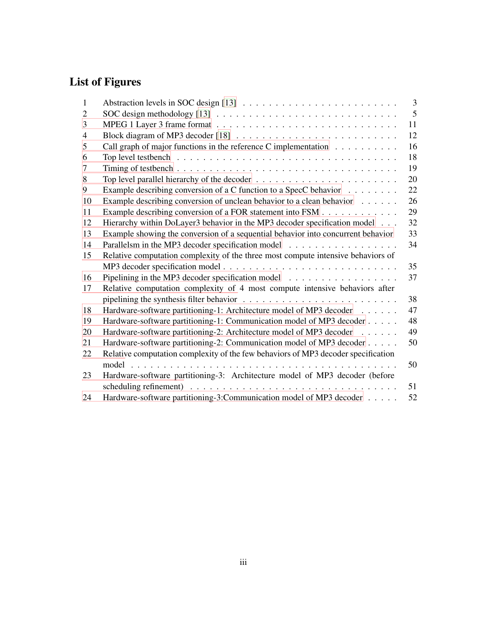# **List of Figures**

| 1              |                                                                                                              | $\overline{3}$ |
|----------------|--------------------------------------------------------------------------------------------------------------|----------------|
| 2              |                                                                                                              | 5              |
| 3              |                                                                                                              | 11             |
| $\overline{4}$ |                                                                                                              | 12             |
| 5              | Call graph of major functions in the reference C implementation                                              | 16             |
| 6              | Top level testbench $\ldots \ldots \ldots \ldots \ldots \ldots \ldots \ldots \ldots \ldots \ldots$           | 18             |
| 7              |                                                                                                              | 19             |
| 8              | Top level parallel hierarchy of the decoder $\dots \dots \dots \dots \dots \dots \dots \dots$                | 20             |
| 9              | Example describing conversion of a C function to a SpecC behavior                                            | 22             |
| 10             | Example describing conversion of unclean behavior to a clean behavior                                        | 26             |
| 11             | Example describing conversion of a FOR statement into FSM                                                    | 29             |
| 12             | Hierarchy within DoLayer3 behavior in the MP3 decoder specification model                                    | 32             |
| 13             | Example showing the conversion of a sequential behavior into concurrent behavior                             | 33             |
| 14             | Parallelsm in the MP3 decoder specification model                                                            | 34             |
| 15             | Relative computation complexity of the three most compute intensive behaviors of                             |                |
|                |                                                                                                              | 35             |
| 16             |                                                                                                              | 37             |
| 17             | Relative computation complexity of 4 most compute intensive behaviors after                                  |                |
|                | pipelining the synthesis filter behavior $\ldots \ldots \ldots \ldots \ldots \ldots \ldots \ldots$           | 38             |
| 18             | Hardware-software partitioning-1: Architecture model of MP3 decoder                                          | 47             |
| 19             | Hardware-software partitioning-1: Communication model of MP3 decoder                                         | 48             |
| 20             | Hardware-software partitioning-2: Architecture model of MP3 decoder                                          | 49             |
| 21             | Hardware-software partitioning-2: Communication model of MP3 decoder                                         | 50             |
| 22             | Relative computation complexity of the few behaviors of MP3 decoder specification                            |                |
|                |                                                                                                              | 50             |
| 23             | Hardware-software partitioning-3: Architecture model of MP3 decoder (before                                  |                |
|                | scheduling refinement) $\ldots \ldots \ldots \ldots \ldots \ldots \ldots \ldots \ldots \ldots \ldots \ldots$ | 51             |
| 24             | Hardware-software partitioning-3:Communication model of MP3 decoder                                          | 52             |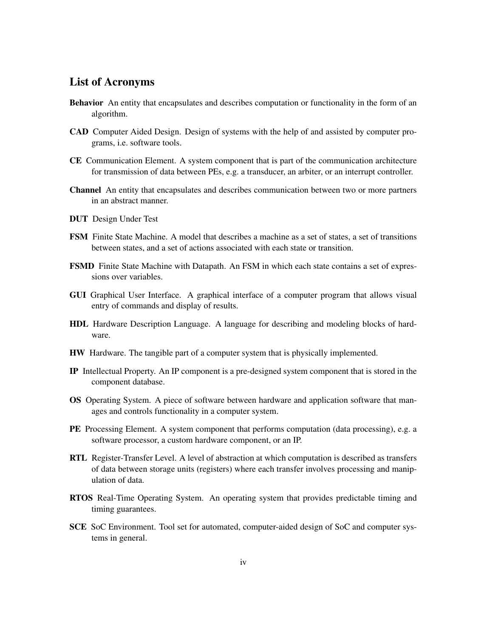# **List of Acronyms**

- **Behavior** An entity that encapsulates and describes computation or functionality in the form of an algorithm.
- **CAD** Computer Aided Design. Design of systems with the help of and assisted by computer programs, i.e. software tools.
- **CE** Communication Element. A system component that is part of the communication architecture for transmission of data between PEs, e.g. a transducer, an arbiter, or an interrupt controller.
- **Channel** An entity that encapsulates and describes communication between two or more partners in an abstract manner.
- **DUT** Design Under Test
- **FSM** Finite State Machine. A model that describes a machine as a set of states, a set of transitions between states, and a set of actions associated with each state or transition.
- **FSMD** Finite State Machine with Datapath. An FSM in which each state contains a set of expressions over variables.
- **GUI** Graphical User Interface. A graphical interface of a computer program that allows visual entry of commands and display of results.
- **HDL** Hardware Description Language. A language for describing and modeling blocks of hardware.
- **HW** Hardware. The tangible part of a computer system that is physically implemented.
- **IP** Intellectual Property. An IP component is a pre-designed system component that is stored in the component database.
- **OS** Operating System. A piece of software between hardware and application software that manages and controls functionality in a computer system.
- **PE** Processing Element. A system component that performs computation (data processing), e.g. a software processor, a custom hardware component, or an IP.
- **RTL** Register-Transfer Level. A level of abstraction at which computation is described as transfers of data between storage units (registers) where each transfer involves processing and manipulation of data.
- **RTOS** Real-Time Operating System. An operating system that provides predictable timing and timing guarantees.
- **SCE** SoC Environment. Tool set for automated, computer-aided design of SoC and computer systems in general.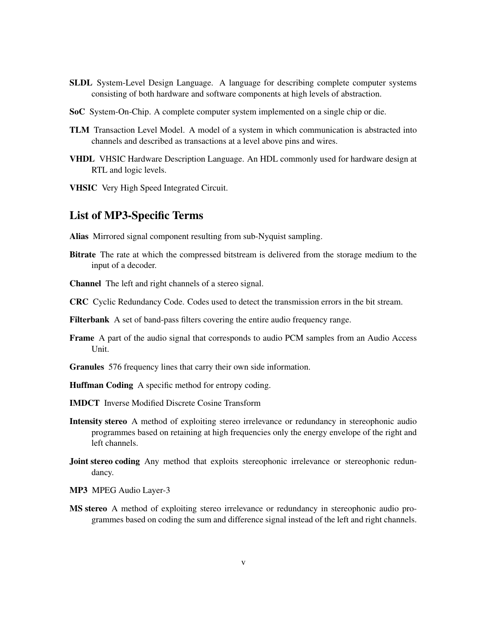- **SLDL** System-Level Design Language. A language for describing complete computer systems consisting of both hardware and software components at high levels of abstraction.
- **SoC** System-On-Chip. A complete computer system implemented on a single chip or die.
- **TLM** Transaction Level Model. A model of a system in which communication is abstracted into channels and described as transactions at a level above pins and wires.
- **VHDL** VHSIC Hardware Description Language. An HDL commonly used for hardware design at RTL and logic levels.
- **VHSIC** Very High Speed Integrated Circuit.

# **List of MP3-Specific Terms**

**Alias** Mirrored signal component resulting from sub-Nyquist sampling.

- **Bitrate** The rate at which the compressed bitstream is delivered from the storage medium to the input of a decoder.
- **Channel** The left and right channels of a stereo signal.
- **CRC** Cyclic Redundancy Code. Codes used to detect the transmission errors in the bit stream.
- **Filterbank** A set of band-pass filters covering the entire audio frequency range.
- **Frame** A part of the audio signal that corresponds to audio PCM samples from an Audio Access Unit.
- **Granules** 576 frequency lines that carry their own side information.
- **Huffman Coding** A specific method for entropy coding.
- **IMDCT** Inverse Modified Discrete Cosine Transform
- **Intensity stereo** A method of exploiting stereo irrelevance or redundancy in stereophonic audio programmes based on retaining at high frequencies only the energy envelope of the right and left channels.
- **Joint stereo coding** Any method that exploits stereophonic irrelevance or stereophonic redundancy.
- **MP3** MPEG Audio Layer-3
- **MS stereo** A method of exploiting stereo irrelevance or redundancy in stereophonic audio programmes based on coding the sum and difference signal instead of the left and right channels.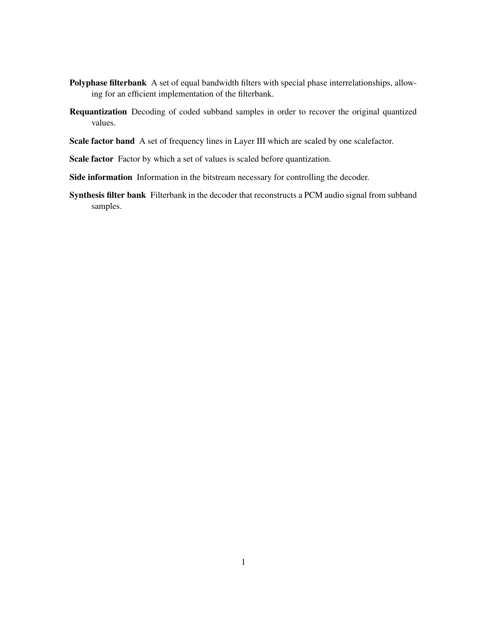- **Polyphase filterbank** A set of equal bandwidth filters with special phase interrelationships, allowing for an efficient implementation of the filterbank.
- **Requantization** Decoding of coded subband samples in order to recover the original quantized values.
- **Scale factor band** A set of frequency lines in Layer III which are scaled by one scalefactor.
- **Scale factor** Factor by which a set of values is scaled before quantization.
- **Side information** Information in the bitstream necessary for controlling the decoder.
- **Synthesis filter bank** Filterbank in the decoder that reconstructs a PCM audio signal from subband samples.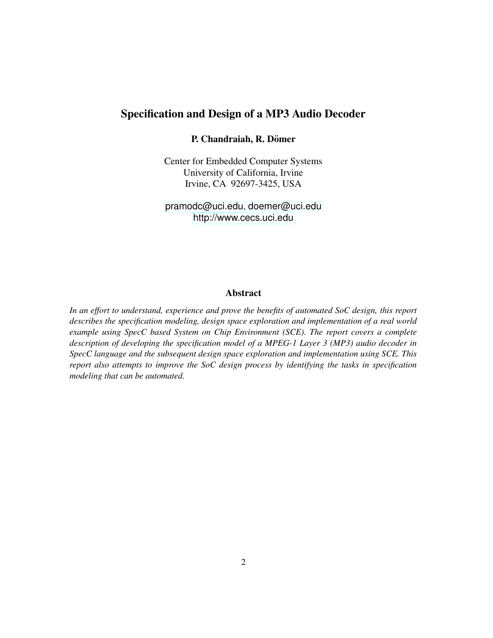# **Specification and Design of a MP3 Audio Decoder**

# **P. Chandraiah, R. Domer ¨**

Center for Embedded Computer Systems University of California, Irvine Irvine, CA 92697-3425, USA

<pramodc@uci.edu>, <doemer@uci.edu> <http://www.cecs.uci.edu>

# **Abstract**

*In an effort to understand, experience and prove the benefits of automated SoC design, this report describes the specification modeling, design space exploration and implementation of a real world example using SpecC based System on Chip Environment (SCE). The report covers a complete description of developing the specification model of a MPEG-1 Layer 3 (MP3) audio decoder in SpecC language and the subsequent design space exploration and implementation using SCE. This report also attempts to improve the SoC design process by identifying the tasks in specification modeling that can be automated.*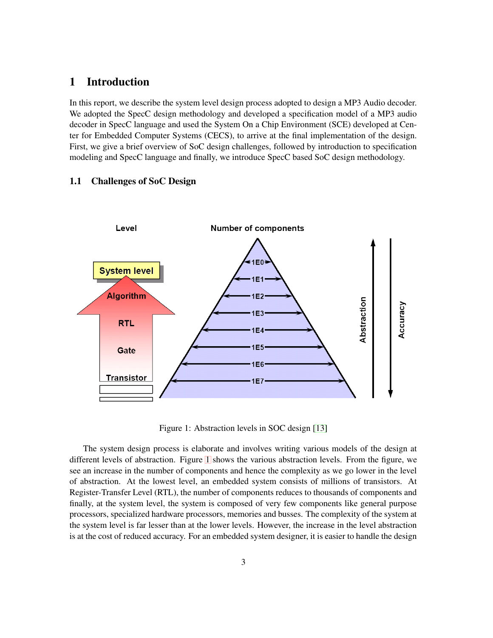# <span id="page-9-0"></span>**1 Introduction**

In this report, we describe the system level design process adopted to design a MP3 Audio decoder. We adopted the SpecC design methodology and developed a specification model of a MP3 audio decoder in SpecC language and used the System On a Chip Environment (SCE) developed at Center for Embedded Computer Systems (CECS), to arrive at the final implementation of the design. First, we give a brief overview of SoC design challenges, followed by introduction to specification modeling and SpecC language and finally, we introduce SpecC based SoC design methodology.

# <span id="page-9-1"></span>**1.1 Challenges of SoC Design**



Figure 1: Abstraction levels in SOC design [\[13\]](#page-66-0)

The system design process is elaborate and involves writing various models of the design at different levels of abstraction. Figure [1](#page-9-1) shows the various abstraction levels. From the figure, we see an increase in the number of components and hence the complexity as we go lower in the level of abstraction. At the lowest level, an embedded system consists of millions of transistors. At Register-Transfer Level (RTL), the number of components reduces to thousands of components and finally, at the system level, the system is composed of very few components like general purpose processors, specialized hardware processors, memories and busses. The complexity of the system at the system level is far lesser than at the lower levels. However, the increase in the level abstraction is at the cost of reduced accuracy. For an embedded system designer, it is easier to handle the design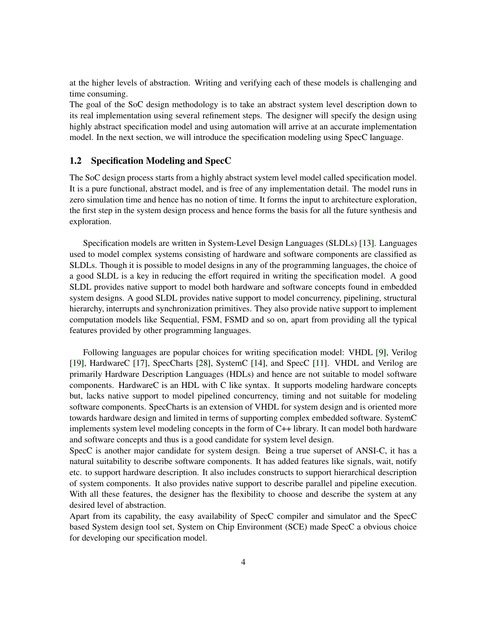at the higher levels of abstraction. Writing and verifying each of these models is challenging and time consuming.

The goal of the SoC design methodology is to take an abstract system level description down to its real implementation using several refinement steps. The designer will specify the design using highly abstract specification model and using automation will arrive at an accurate implementation model. In the next section, we will introduce the specification modeling using SpecC language.

# <span id="page-10-0"></span>**1.2 Specification Modeling and SpecC**

The SoC design process starts from a highly abstract system level model called specification model. It is a pure functional, abstract model, and is free of any implementation detail. The model runs in zero simulation time and hence has no notion of time. It forms the input to architecture exploration, the first step in the system design process and hence forms the basis for all the future synthesis and exploration.

Specification models are written in System-Level Design Languages (SLDLs) [\[13\]](#page-66-0). Languages used to model complex systems consisting of hardware and software components are classified as SLDLs. Though it is possible to model designs in any of the programming languages, the choice of a good SLDL is a key in reducing the effort required in writing the specification model. A good SLDL provides native support to model both hardware and software concepts found in embedded system designs. A good SLDL provides native support to model concurrency, pipelining, structural hierarchy, interrupts and synchronization primitives. They also provide native support to implement computation models like Sequential, FSM, FSMD and so on, apart from providing all the typical features provided by other programming languages.

Following languages are popular choices for writing specification model: VHDL [\[9\]](#page-65-1), Verilog [\[19\]](#page-66-2), HardwareC [\[17\]](#page-66-3), SpecCharts [\[28\]](#page-67-0), SystemC [\[14\]](#page-66-4), and SpecC [\[11\]](#page-65-2). VHDL and Verilog are primarily Hardware Description Languages (HDLs) and hence are not suitable to model software components. HardwareC is an HDL with C like syntax. It supports modeling hardware concepts but, lacks native support to model pipelined concurrency, timing and not suitable for modeling software components. SpecCharts is an extension of VHDL for system design and is oriented more towards hardware design and limited in terms of supporting complex embedded software. SystemC implements system level modeling concepts in the form of C++ library. It can model both hardware and software concepts and thus is a good candidate for system level design.

SpecC is another major candidate for system design. Being a true superset of ANSI-C, it has a natural suitability to describe software components. It has added features like signals, wait, notify etc. to support hardware description. It also includes constructs to support hierarchical description of system components. It also provides native support to describe parallel and pipeline execution. With all these features, the designer has the flexibility to choose and describe the system at any desired level of abstraction.

Apart from its capability, the easy availability of SpecC compiler and simulator and the SpecC based System design tool set, System on Chip Environment (SCE) made SpecC a obvious choice for developing our specification model.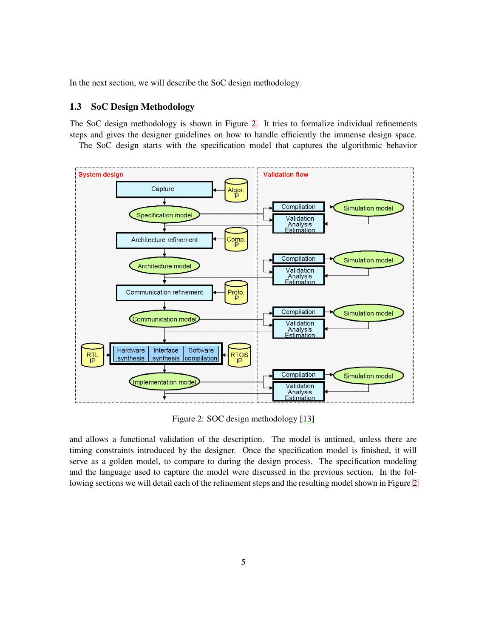<span id="page-11-0"></span>In the next section, we will describe the SoC design methodology.

# **1.3 SoC Design Methodology**

The SoC design methodology is shown in Figure [2.](#page-11-0) It tries to formalize individual refinements steps and gives the designer guidelines on how to handle efficiently the immense design space.

The SoC design starts with the specification model that captures the algorithmic behavior



Figure 2: SOC design methodology [\[13\]](#page-66-0)

and allows a functional validation of the description. The model is untimed, unless there are timing constraints introduced by the designer. Once the specification model is finished, it will serve as a golden model, to compare to during the design process. The specification modeling and the language used to capture the model were discussed in the previous section. In the following sections we will detail each of the refinement steps and the resulting model shown in Figure [2](#page-11-0)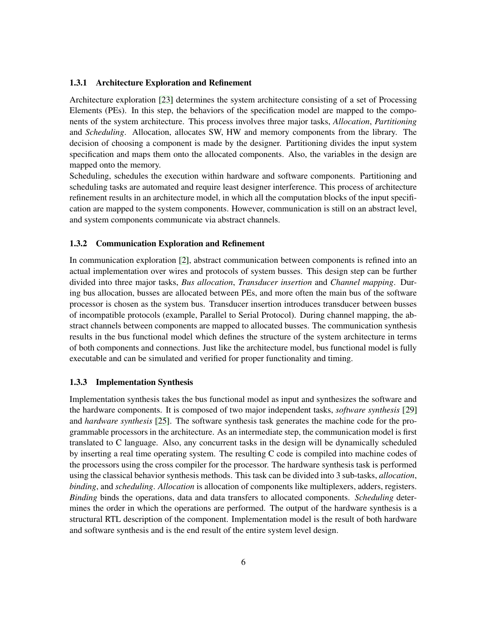#### <span id="page-12-0"></span>**1.3.1 Architecture Exploration and Refinement**

Architecture exploration [\[23\]](#page-66-5) determines the system architecture consisting of a set of Processing Elements (PEs). In this step, the behaviors of the specification model are mapped to the components of the system architecture. This process involves three major tasks, *Allocation*, *Partitioning* and *Scheduling*. Allocation, allocates SW, HW and memory components from the library. The decision of choosing a component is made by the designer. Partitioning divides the input system specification and maps them onto the allocated components. Also, the variables in the design are mapped onto the memory.

Scheduling, schedules the execution within hardware and software components. Partitioning and scheduling tasks are automated and require least designer interference. This process of architecture refinement results in an architecture model, in which all the computation blocks of the input specification are mapped to the system components. However, communication is still on an abstract level, and system components communicate via abstract channels.

#### <span id="page-12-1"></span>**1.3.2 Communication Exploration and Refinement**

In communication exploration [\[2\]](#page-65-3), abstract communication between components is refined into an actual implementation over wires and protocols of system busses. This design step can be further divided into three major tasks, *Bus allocation*, *Transducer insertion* and *Channel mapping*. During bus allocation, busses are allocated between PEs, and more often the main bus of the software processor is chosen as the system bus. Transducer insertion introduces transducer between busses of incompatible protocols (example, Parallel to Serial Protocol). During channel mapping, the abstract channels between components are mapped to allocated busses. The communication synthesis results in the bus functional model which defines the structure of the system architecture in terms of both components and connections. Just like the architecture model, bus functional model is fully executable and can be simulated and verified for proper functionality and timing.

#### <span id="page-12-2"></span>**1.3.3 Implementation Synthesis**

Implementation synthesis takes the bus functional model as input and synthesizes the software and the hardware components. It is composed of two major independent tasks, *software synthesis* [\[29\]](#page-67-1) and *hardware synthesis* [\[25\]](#page-66-6). The software synthesis task generates the machine code for the programmable processors in the architecture. As an intermediate step, the communication model is first translated to C language. Also, any concurrent tasks in the design will be dynamically scheduled by inserting a real time operating system. The resulting C code is compiled into machine codes of the processors using the cross compiler for the processor. The hardware synthesis task is performed using the classical behavior synthesis methods. This task can be divided into 3 sub-tasks, *allocation*, *binding*, and *scheduling*. *Allocation* is allocation of components like multiplexers, adders, registers. *Binding* binds the operations, data and data transfers to allocated components. *Scheduling* determines the order in which the operations are performed. The output of the hardware synthesis is a structural RTL description of the component. Implementation model is the result of both hardware and software synthesis and is the end result of the entire system level design.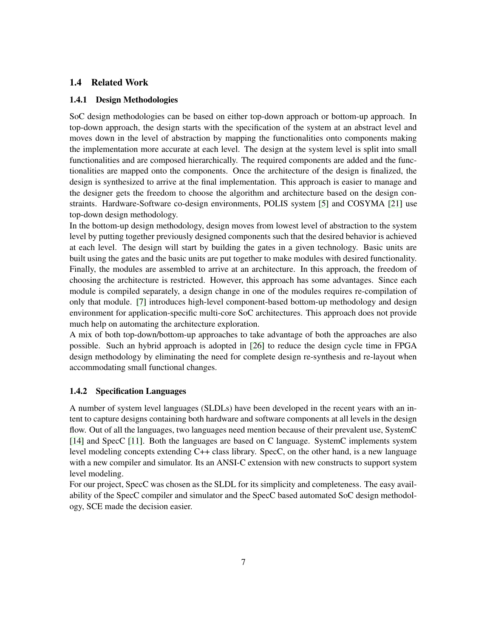# <span id="page-13-1"></span><span id="page-13-0"></span>**1.4 Related Work**

#### **1.4.1 Design Methodologies**

SoC design methodologies can be based on either top-down approach or bottom-up approach. In top-down approach, the design starts with the specification of the system at an abstract level and moves down in the level of abstraction by mapping the functionalities onto components making the implementation more accurate at each level. The design at the system level is split into small functionalities and are composed hierarchically. The required components are added and the functionalities are mapped onto the components. Once the architecture of the design is finalized, the design is synthesized to arrive at the final implementation. This approach is easier to manage and the designer gets the freedom to choose the algorithm and architecture based on the design constraints. Hardware-Software co-design environments, POLIS system [\[5\]](#page-65-4) and COSYMA [\[21\]](#page-66-7) use top-down design methodology.

In the bottom-up design methodology, design moves from lowest level of abstraction to the system level by putting together previously designed components such that the desired behavior is achieved at each level. The design will start by building the gates in a given technology. Basic units are built using the gates and the basic units are put together to make modules with desired functionality. Finally, the modules are assembled to arrive at an architecture. In this approach, the freedom of choosing the architecture is restricted. However, this approach has some advantages. Since each module is compiled separately, a design change in one of the modules requires re-compilation of only that module. [\[7\]](#page-65-5) introduces high-level component-based bottom-up methodology and design environment for application-specific multi-core SoC architectures. This approach does not provide much help on automating the architecture exploration.

A mix of both top-down/bottom-up approaches to take advantage of both the approaches are also possible. Such an hybrid approach is adopted in [\[26\]](#page-66-8) to reduce the design cycle time in FPGA design methodology by eliminating the need for complete design re-synthesis and re-layout when accommodating small functional changes.

#### <span id="page-13-2"></span>**1.4.2 Specification Languages**

A number of system level languages (SLDLs) have been developed in the recent years with an intent to capture designs containing both hardware and software components at all levels in the design flow. Out of all the languages, two languages need mention because of their prevalent use, SystemC [\[14\]](#page-66-4) and SpecC [\[11\]](#page-65-2). Both the languages are based on C language. SystemC implements system level modeling concepts extending C++ class library. SpecC, on the other hand, is a new language with a new compiler and simulator. Its an ANSI-C extension with new constructs to support system level modeling.

For our project, SpecC was chosen as the SLDL for its simplicity and completeness. The easy availability of the SpecC compiler and simulator and the SpecC based automated SoC design methodology, SCE made the decision easier.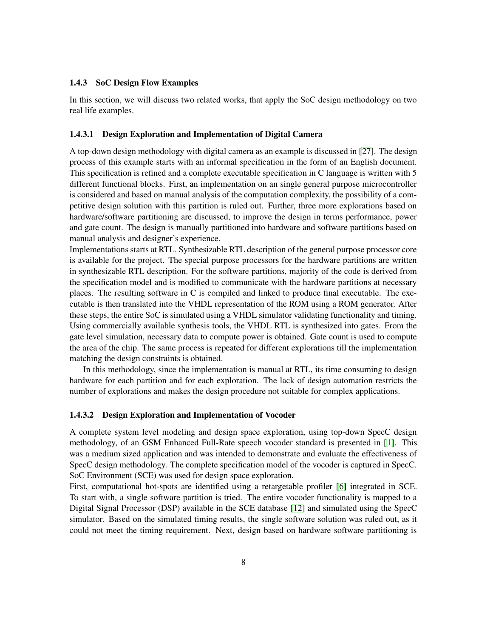#### <span id="page-14-0"></span>**1.4.3 SoC Design Flow Examples**

In this section, we will discuss two related works, that apply the SoC design methodology on two real life examples.

#### <span id="page-14-1"></span>**1.4.3.1 Design Exploration and Implementation of Digital Camera**

A top-down design methodology with digital camera as an example is discussed in [\[27\]](#page-66-9). The design process of this example starts with an informal specification in the form of an English document. This specification is refined and a complete executable specification in C language is written with 5 different functional blocks. First, an implementation on an single general purpose microcontroller is considered and based on manual analysis of the computation complexity, the possibility of a competitive design solution with this partition is ruled out. Further, three more explorations based on hardware/software partitioning are discussed, to improve the design in terms performance, power and gate count. The design is manually partitioned into hardware and software partitions based on manual analysis and designer's experience.

Implementations starts at RTL. Synthesizable RTL description of the general purpose processor core is available for the project. The special purpose processors for the hardware partitions are written in synthesizable RTL description. For the software partitions, majority of the code is derived from the specification model and is modified to communicate with the hardware partitions at necessary places. The resulting software in C is compiled and linked to produce final executable. The executable is then translated into the VHDL representation of the ROM using a ROM generator. After these steps, the entire SoC is simulated using a VHDL simulator validating functionality and timing. Using commercially available synthesis tools, the VHDL RTL is synthesized into gates. From the gate level simulation, necessary data to compute power is obtained. Gate count is used to compute the area of the chip. The same process is repeated for different explorations till the implementation matching the design constraints is obtained.

In this methodology, since the implementation is manual at RTL, its time consuming to design hardware for each partition and for each exploration. The lack of design automation restricts the number of explorations and makes the design procedure not suitable for complex applications.

# <span id="page-14-2"></span>**1.4.3.2 Design Exploration and Implementation of Vocoder**

A complete system level modeling and design space exploration, using top-down SpecC design methodology, of an GSM Enhanced Full-Rate speech vocoder standard is presented in [\[1\]](#page-65-6). This was a medium sized application and was intended to demonstrate and evaluate the effectiveness of SpecC design methodology. The complete specification model of the vocoder is captured in SpecC. SoC Environment (SCE) was used for design space exploration.

First, computational hot-spots are identified using a retargetable profiler [\[6\]](#page-65-7) integrated in SCE. To start with, a single software partition is tried. The entire vocoder functionality is mapped to a Digital Signal Processor (DSP) available in the SCE database [\[12\]](#page-65-8) and simulated using the SpecC simulator. Based on the simulated timing results, the single software solution was ruled out, as it could not meet the timing requirement. Next, design based on hardware software partitioning is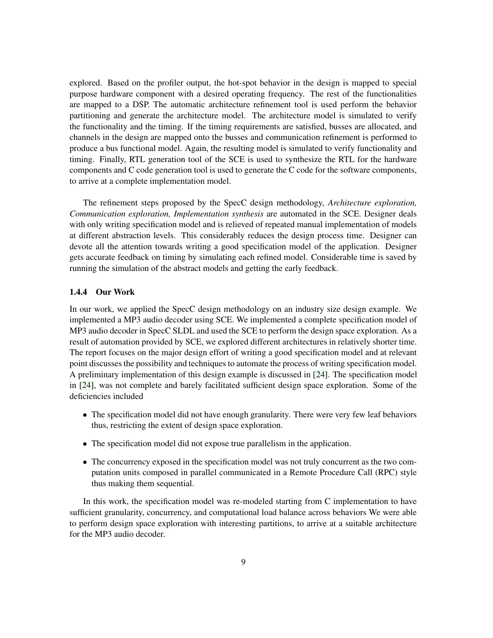explored. Based on the profiler output, the hot-spot behavior in the design is mapped to special purpose hardware component with a desired operating frequency. The rest of the functionalities are mapped to a DSP. The automatic architecture refinement tool is used perform the behavior partitioning and generate the architecture model. The architecture model is simulated to verify the functionality and the timing. If the timing requirements are satisfied, busses are allocated, and channels in the design are mapped onto the busses and communication refinement is performed to produce a bus functional model. Again, the resulting model is simulated to verify functionality and timing. Finally, RTL generation tool of the SCE is used to synthesize the RTL for the hardware components and C code generation tool is used to generate the C code for the software components, to arrive at a complete implementation model.

The refinement steps proposed by the SpecC design methodology, *Architecture exploration, Communication exploration, Implementation synthesis* are automated in the SCE. Designer deals with only writing specification model and is relieved of repeated manual implementation of models at different abstraction levels. This considerably reduces the design process time. Designer can devote all the attention towards writing a good specification model of the application. Designer gets accurate feedback on timing by simulating each refined model. Considerable time is saved by running the simulation of the abstract models and getting the early feedback.

# <span id="page-15-0"></span>**1.4.4 Our Work**

In our work, we applied the SpecC design methodology on an industry size design example. We implemented a MP3 audio decoder using SCE. We implemented a complete specification model of MP3 audio decoder in SpecC SLDL and used the SCE to perform the design space exploration. As a result of automation provided by SCE, we explored different architectures in relatively shorter time. The report focuses on the major design effort of writing a good specification model and at relevant point discusses the possibility and techniques to automate the process of writing specification model. A preliminary implementation of this design example is discussed in [\[24\]](#page-66-10). The specification model in [\[24\]](#page-66-10), was not complete and barely facilitated sufficient design space exploration. Some of the deficiencies included

- The specification model did not have enough granularity. There were very few leaf behaviors thus, restricting the extent of design space exploration.
- The specification model did not expose true parallelism in the application.
- The concurrency exposed in the specification model was not truly concurrent as the two computation units composed in parallel communicated in a Remote Procedure Call (RPC) style thus making them sequential.

In this work, the specification model was re-modeled starting from C implementation to have sufficient granularity, concurrency, and computational load balance across behaviors We were able to perform design space exploration with interesting partitions, to arrive at a suitable architecture for the MP3 audio decoder.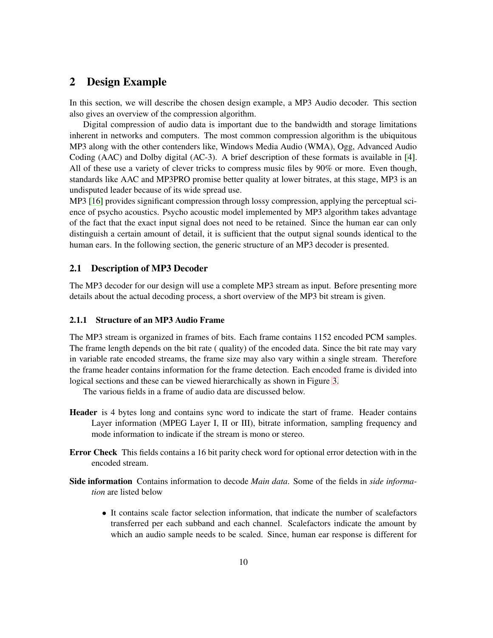# <span id="page-16-0"></span>**2 Design Example**

In this section, we will describe the chosen design example, a MP3 Audio decoder. This section also gives an overview of the compression algorithm.

Digital compression of audio data is important due to the bandwidth and storage limitations inherent in networks and computers. The most common compression algorithm is the ubiquitous MP3 along with the other contenders like, Windows Media Audio (WMA), Ogg, Advanced Audio Coding (AAC) and Dolby digital (AC-3). A brief description of these formats is available in [\[4\]](#page-65-9). All of these use a variety of clever tricks to compress music files by 90% or more. Even though, standards like AAC and MP3PRO promise better quality at lower bitrates, at this stage, MP3 is an undisputed leader because of its wide spread use.

MP3 [\[16\]](#page-66-11) provides significant compression through lossy compression, applying the perceptual science of psycho acoustics. Psycho acoustic model implemented by MP3 algorithm takes advantage of the fact that the exact input signal does not need to be retained. Since the human ear can only distinguish a certain amount of detail, it is sufficient that the output signal sounds identical to the human ears. In the following section, the generic structure of an MP3 decoder is presented.

#### <span id="page-16-1"></span>**2.1 Description of MP3 Decoder**

The MP3 decoder for our design will use a complete MP3 stream as input. Before presenting more details about the actual decoding process, a short overview of the MP3 bit stream is given.

#### <span id="page-16-2"></span>**2.1.1 Structure of an MP3 Audio Frame**

The MP3 stream is organized in frames of bits. Each frame contains 1152 encoded PCM samples. The frame length depends on the bit rate ( quality) of the encoded data. Since the bit rate may vary in variable rate encoded streams, the frame size may also vary within a single stream. Therefore the frame header contains information for the frame detection. Each encoded frame is divided into logical sections and these can be viewed hierarchically as shown in Figure [3.](#page-16-2)

The various fields in a frame of audio data are discussed below.

- **Header** is 4 bytes long and contains sync word to indicate the start of frame. Header contains Layer information (MPEG Layer I, II or III), bitrate information, sampling frequency and mode information to indicate if the stream is mono or stereo.
- **Error Check** This fields contains a 16 bit parity check word for optional error detection with in the encoded stream.
- **Side information** Contains information to decode *Main data*. Some of the fields in *side information* are listed below
	- It contains scale factor selection information, that indicate the number of scalefactors transferred per each subband and each channel. Scalefactors indicate the amount by which an audio sample needs to be scaled. Since, human ear response is different for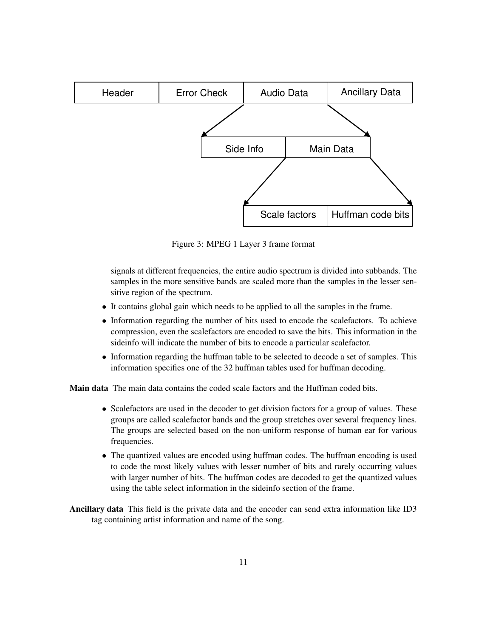

Figure 3: MPEG 1 Layer 3 frame format

signals at different frequencies, the entire audio spectrum is divided into subbands. The samples in the more sensitive bands are scaled more than the samples in the lesser sensitive region of the spectrum.

- It contains global gain which needs to be applied to all the samples in the frame.
- Information regarding the number of bits used to encode the scalefactors. To achieve compression, even the scalefactors are encoded to save the bits. This information in the sideinfo will indicate the number of bits to encode a particular scalefactor.
- Information regarding the huffman table to be selected to decode a set of samples. This information specifies one of the 32 huffman tables used for huffman decoding.

**Main data** The main data contains the coded scale factors and the Huffman coded bits.

- Scalefactors are used in the decoder to get division factors for a group of values. These groups are called scalefactor bands and the group stretches over several frequency lines. The groups are selected based on the non-uniform response of human ear for various frequencies.
- The quantized values are encoded using huffman codes. The huffman encoding is used to code the most likely values with lesser number of bits and rarely occurring values with larger number of bits. The huffman codes are decoded to get the quantized values using the table select information in the sideinfo section of the frame.
- **Ancillary data** This field is the private data and the encoder can send extra information like ID3 tag containing artist information and name of the song.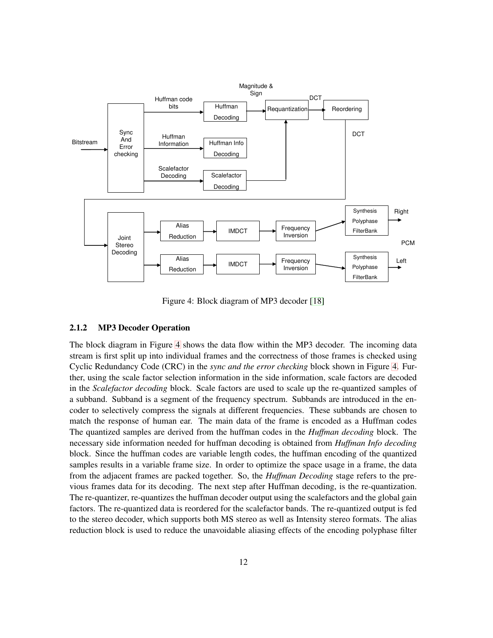

Figure 4: Block diagram of MP3 decoder [\[18\]](#page-66-1)

# <span id="page-18-0"></span>**2.1.2 MP3 Decoder Operation**

The block diagram in Figure [4](#page-18-0) shows the data flow within the MP3 decoder. The incoming data stream is first split up into individual frames and the correctness of those frames is checked using Cyclic Redundancy Code (CRC) in the *sync and the error checking* block shown in Figure [4.](#page-18-0) Further, using the scale factor selection information in the side information, scale factors are decoded in the *Scalefactor decoding* block. Scale factors are used to scale up the re-quantized samples of a subband. Subband is a segment of the frequency spectrum. Subbands are introduced in the encoder to selectively compress the signals at different frequencies. These subbands are chosen to match the response of human ear. The main data of the frame is encoded as a Huffman codes The quantized samples are derived from the huffman codes in the *Huffman decoding* block. The necessary side information needed for huffman decoding is obtained from *Huffman Info decoding* block. Since the huffman codes are variable length codes, the huffman encoding of the quantized samples results in a variable frame size. In order to optimize the space usage in a frame, the data from the adjacent frames are packed together. So, the *Huffman Decoding* stage refers to the previous frames data for its decoding. The next step after Huffman decoding, is the re-quantization. The re-quantizer, re-quantizes the huffman decoder output using the scalefactors and the global gain factors. The re-quantized data is reordered for the scalefactor bands. The re-quantized output is fed to the stereo decoder, which supports both MS stereo as well as Intensity stereo formats. The alias reduction block is used to reduce the unavoidable aliasing effects of the encoding polyphase filter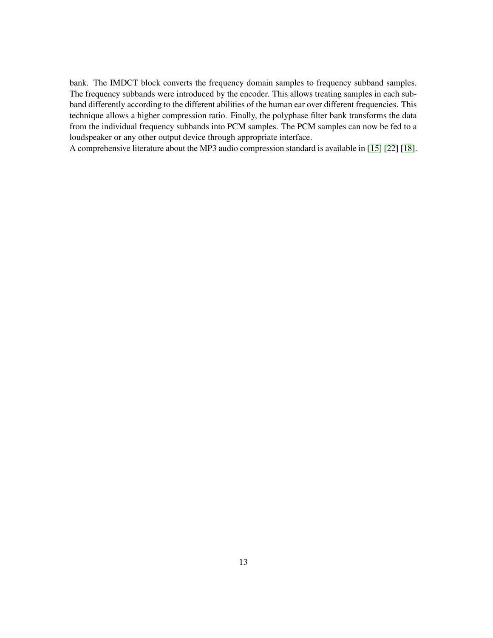bank. The IMDCT block converts the frequency domain samples to frequency subband samples. The frequency subbands were introduced by the encoder. This allows treating samples in each subband differently according to the different abilities of the human ear over different frequencies. This technique allows a higher compression ratio. Finally, the polyphase filter bank transforms the data from the individual frequency subbands into PCM samples. The PCM samples can now be fed to a loudspeaker or any other output device through appropriate interface.

A comprehensive literature about the MP3 audio compression standard is available in [\[15\]](#page-66-12) [\[22\]](#page-66-13) [\[18\]](#page-66-1).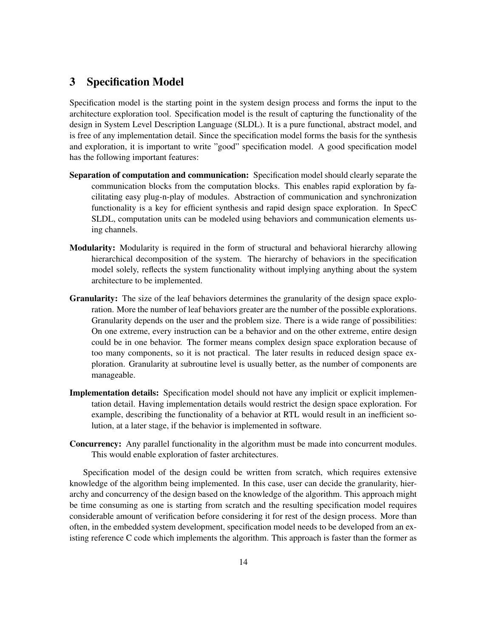# <span id="page-20-0"></span>**3 Specification Model**

Specification model is the starting point in the system design process and forms the input to the architecture exploration tool. Specification model is the result of capturing the functionality of the design in System Level Description Language (SLDL). It is a pure functional, abstract model, and is free of any implementation detail. Since the specification model forms the basis for the synthesis and exploration, it is important to write "good" specification model. A good specification model has the following important features:

- **Separation of computation and communication:** Specification model should clearly separate the communication blocks from the computation blocks. This enables rapid exploration by facilitating easy plug-n-play of modules. Abstraction of communication and synchronization functionality is a key for efficient synthesis and rapid design space exploration. In SpecC SLDL, computation units can be modeled using behaviors and communication elements using channels.
- **Modularity:** Modularity is required in the form of structural and behavioral hierarchy allowing hierarchical decomposition of the system. The hierarchy of behaviors in the specification model solely, reflects the system functionality without implying anything about the system architecture to be implemented.
- **Granularity:** The size of the leaf behaviors determines the granularity of the design space exploration. More the number of leaf behaviors greater are the number of the possible explorations. Granularity depends on the user and the problem size. There is a wide range of possibilities: On one extreme, every instruction can be a behavior and on the other extreme, entire design could be in one behavior. The former means complex design space exploration because of too many components, so it is not practical. The later results in reduced design space exploration. Granularity at subroutine level is usually better, as the number of components are manageable.
- **Implementation details:** Specification model should not have any implicit or explicit implementation detail. Having implementation details would restrict the design space exploration. For example, describing the functionality of a behavior at RTL would result in an inefficient solution, at a later stage, if the behavior is implemented in software.
- **Concurrency:** Any parallel functionality in the algorithm must be made into concurrent modules. This would enable exploration of faster architectures.

Specification model of the design could be written from scratch, which requires extensive knowledge of the algorithm being implemented. In this case, user can decide the granularity, hierarchy and concurrency of the design based on the knowledge of the algorithm. This approach might be time consuming as one is starting from scratch and the resulting specification model requires considerable amount of verification before considering it for rest of the design process. More than often, in the embedded system development, specification model needs to be developed from an existing reference C code which implements the algorithm. This approach is faster than the former as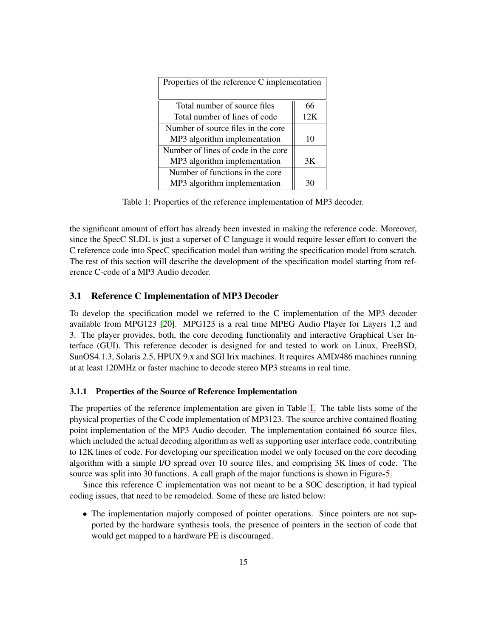| Properties of the reference C implementation |     |
|----------------------------------------------|-----|
| Total number of source files                 | 66  |
| Total number of lines of code                | 12K |
| Number of source files in the core           |     |
| MP3 algorithm implementation                 | 10  |
| Number of lines of code in the core          |     |
| MP3 algorithm implementation                 | 3K  |
| Number of functions in the core              |     |
| MP3 algorithm implementation                 | 30  |

Table 1: Properties of the reference implementation of MP3 decoder.

the significant amount of effort has already been invested in making the reference code. Moreover, since the SpecC SLDL is just a superset of C language it would require lesser effort to convert the C reference code into SpecC specification model than writing the specification model from scratch. The rest of this section will describe the development of the specification model starting from reference C-code of a MP3 Audio decoder.

#### <span id="page-21-0"></span>**3.1 Reference C Implementation of MP3 Decoder**

To develop the specification model we referred to the C implementation of the MP3 decoder available from MPG123 [\[20\]](#page-66-14). MPG123 is a real time MPEG Audio Player for Layers 1,2 and 3. The player provides, both, the core decoding functionality and interactive Graphical User Interface (GUI). This reference decoder is designed for and tested to work on Linux, FreeBSD, SunOS4.1.3, Solaris 2.5, HPUX 9.x and SGI Irix machines. It requires AMD/486 machines running at at least 120MHz or faster machine to decode stereo MP3 streams in real time.

## <span id="page-21-1"></span>**3.1.1 Properties of the Source of Reference Implementation**

The properties of the reference implementation are given in Table [1.](#page-21-1) The table lists some of the physical properties of the C code implementation of MP3123. The source archive contained floating point implementation of the MP3 Audio decoder. The implementation contained 66 source files, which included the actual decoding algorithm as well as supporting user interface code, contributing to 12K lines of code. For developing our specification model we only focused on the core decoding algorithm with a simple I/O spread over 10 source files, and comprising 3K lines of code. The source was split into 30 functions. A call graph of the major functions is shown in Figure[-5.](#page-21-1)

Since this reference C implementation was not meant to be a SOC description, it had typical coding issues, that need to be remodeled. Some of these are listed below:

• The implementation majorly composed of pointer operations. Since pointers are not supported by the hardware synthesis tools, the presence of pointers in the section of code that would get mapped to a hardware PE is discouraged.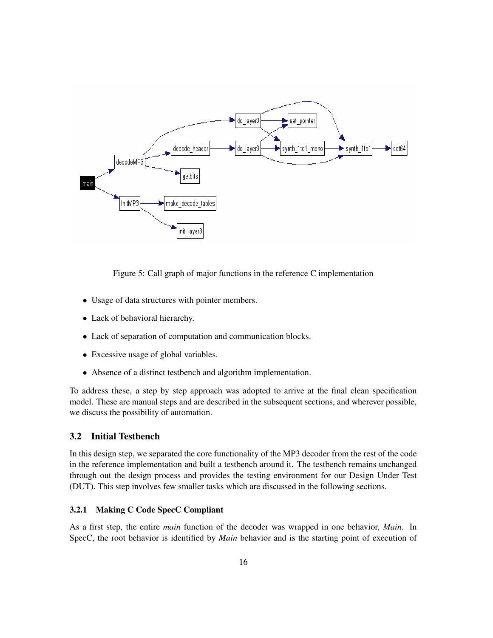

Figure 5: Call graph of major functions in the reference C implementation

- Usage of data structures with pointer members.
- Lack of behavioral hierarchy.
- Lack of separation of computation and communication blocks.
- Excessive usage of global variables.
- Absence of a distinct testbench and algorithm implementation.

To address these, a step by step approach was adopted to arrive at the final clean specification model. These are manual steps and are described in the subsequent sections, and wherever possible, we discuss the possibility of automation.

# <span id="page-22-0"></span>**3.2 Initial Testbench**

In this design step, we separated the core functionality of the MP3 decoder from the rest of the code in the reference implementation and built a testbench around it. The testbench remains unchanged through out the design process and provides the testing environment for our Design Under Test (DUT). This step involves few smaller tasks which are discussed in the following sections.

## <span id="page-22-1"></span>**3.2.1 Making C Code SpecC Compliant**

As a first step, the entire *main* function of the decoder was wrapped in one behavior, *Main*. In SpecC, the root behavior is identified by *Main* behavior and is the starting point of execution of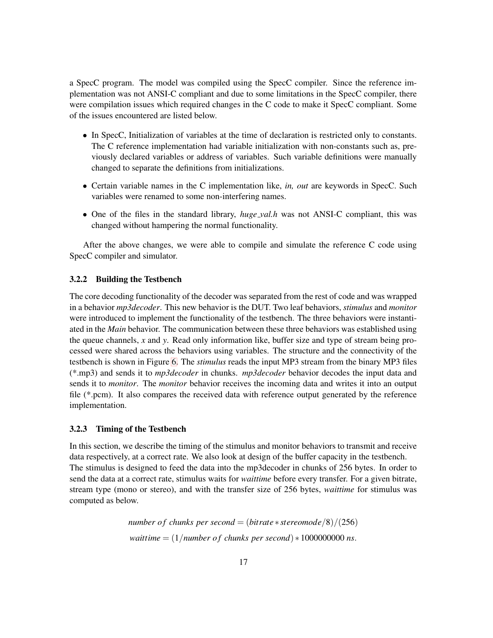a SpecC program. The model was compiled using the SpecC compiler. Since the reference implementation was not ANSI-C compliant and due to some limitations in the SpecC compiler, there were compilation issues which required changes in the C code to make it SpecC compliant. Some of the issues encountered are listed below.

- In SpecC, Initialization of variables at the time of declaration is restricted only to constants. The C reference implementation had variable initialization with non-constants such as, previously declared variables or address of variables. Such variable definitions were manually changed to separate the definitions from initializations.
- Certain variable names in the C implementation like, *in, out* are keywords in SpecC. Such variables were renamed to some non-interfering names.
- One of the files in the standard library, *huge val.h* was not ANSI-C compliant, this was changed without hampering the normal functionality.

After the above changes, we were able to compile and simulate the reference C code using SpecC compiler and simulator.

#### <span id="page-23-0"></span>**3.2.2 Building the Testbench**

The core decoding functionality of the decoder was separated from the rest of code and was wrapped in a behavior *mp3decoder*. This new behavior is the DUT. Two leaf behaviors, *stimulus* and *monitor* were introduced to implement the functionality of the testbench. The three behaviors were instantiated in the *Main* behavior. The communication between these three behaviors was established using the queue channels, *x* and *y*. Read only information like, buffer size and type of stream being processed were shared across the behaviors using variables. The structure and the connectivity of the testbench is shown in Figure [6.](#page-23-0) The *stimulus* reads the input MP3 stream from the binary MP3 files (\*.mp3) and sends it to *mp3decoder* in chunks. *mp3decoder* behavior decodes the input data and sends it to *monitor*. The *monitor* behavior receives the incoming data and writes it into an output file (\*.pcm). It also compares the received data with reference output generated by the reference implementation.

#### <span id="page-23-1"></span>**3.2.3 Timing of the Testbench**

In this section, we describe the timing of the stimulus and monitor behaviors to transmit and receive data respectively, at a correct rate. We also look at design of the buffer capacity in the testbench. The stimulus is designed to feed the data into the mp3decoder in chunks of 256 bytes. In order to send the data at a correct rate, stimulus waits for *waittime* before every transfer. For a given bitrate, stream type (mono or stereo), and with the transfer size of 256 bytes, *waittime* for stimulus was computed as below.

> *number of chunks per second* =  $(bitrate * stereomode/8)/(256)$ *waittime* =  $(1/number of chunks per second) * 1000000000 ns.$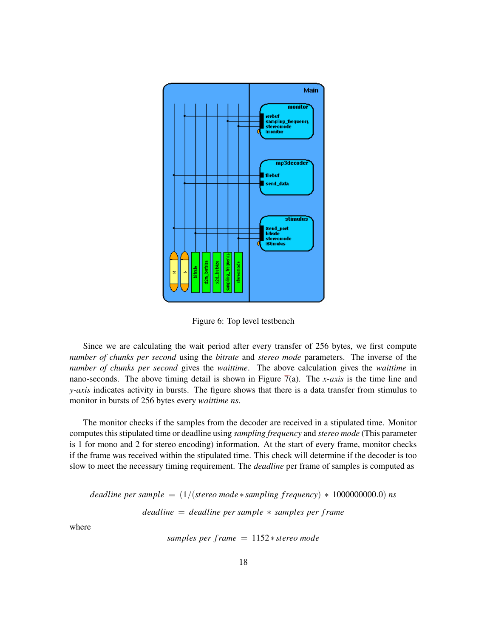

Figure 6: Top level testbench

Since we are calculating the wait period after every transfer of 256 bytes, we first compute *number of chunks per second* using the *bitrate* and *stereo mode* parameters. The inverse of the *number of chunks per second* gives the *waittime*. The above calculation gives the *waittime* in nano-seconds. The above timing detail is shown in Figure [7\(](#page-23-1)a). The *x-axis* is the time line and *y-axis* indicates activity in bursts. The figure shows that there is a data transfer from stimulus to monitor in bursts of 256 bytes every *waittime ns*.

The monitor checks if the samples from the decoder are received in a stipulated time. Monitor computes this stipulated time or deadline using *sampling frequency* and *stereo mode* (This parameter is 1 for mono and 2 for stereo encoding) information. At the start of every frame, monitor checks if the frame was received within the stipulated time. This check will determine if the decoder is too slow to meet the necessary timing requirement. The *deadline* per frame of samples is computed as

*deadline per sample* =  $(1/($ *stereo mode*  $*$  *sampling frequency*)  $*$  1000000000.0) *ns deadline* = *deadline per sample* ∗ *samples per frame*

where

*samples per frame* = 1152 ∗ *stereo mode*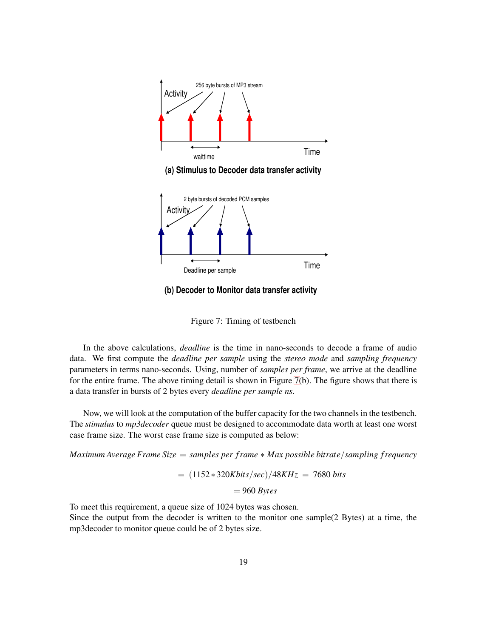

**(a) Stimulus to Decoder data transfer activity**



**(b) Decoder to Monitor data transfer activity**

Figure 7: Timing of testbench

In the above calculations, *deadline* is the time in nano-seconds to decode a frame of audio data. We first compute the *deadline per sample* using the *stereo mode* and *sampling frequency* parameters in terms nano-seconds. Using, number of *samples per frame*, we arrive at the deadline for the entire frame. The above timing detail is shown in Figure [7\(](#page-23-1)b). The figure shows that there is a data transfer in bursts of 2 bytes every *deadline per sample ns*.

Now, we will look at the computation of the buffer capacity for the two channelsin the testbench. The *stimulus* to *mp3decoder* queue must be designed to accommodate data worth at least one worst case frame size. The worst case frame size is computed as below:

*Maximum Average Frame Size* = *samples per frame* ∗ *Max possible bitrate*/*sampling frequency*

= (1152 ∗ 320*Kbits*/*sec*)/48*KHz* = 7680 *bits*

= 960 *Bytes*

To meet this requirement, a queue size of 1024 bytes was chosen.

Since the output from the decoder is written to the monitor one sample(2 Bytes) at a time, the mp3decoder to monitor queue could be of 2 bytes size.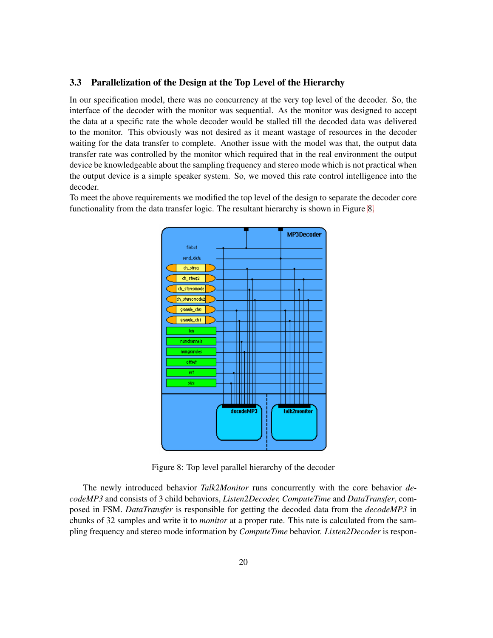#### <span id="page-26-0"></span>**3.3 Parallelization of the Design at the Top Level of the Hierarchy**

In our specification model, there was no concurrency at the very top level of the decoder. So, the interface of the decoder with the monitor was sequential. As the monitor was designed to accept the data at a specific rate the whole decoder would be stalled till the decoded data was delivered to the monitor. This obviously was not desired as it meant wastage of resources in the decoder waiting for the data transfer to complete. Another issue with the model was that, the output data transfer rate was controlled by the monitor which required that in the real environment the output device be knowledgeable about the sampling frequency and stereo mode which is not practical when the output device is a simple speaker system. So, we moved this rate control intelligence into the decoder.

To meet the above requirements we modified the top level of the design to separate the decoder core functionality from the data transfer logic. The resultant hierarchy is shown in Figure [8.](#page-26-0)



Figure 8: Top level parallel hierarchy of the decoder

The newly introduced behavior *Talk2Monitor* runs concurrently with the core behavior *decodeMP3* and consists of 3 child behaviors, *Listen2Decoder, ComputeTime* and *DataTransfer*, composed in FSM. *DataTransfer* is responsible for getting the decoded data from the *decodeMP3* in chunks of 32 samples and write it to *monitor* at a proper rate. This rate is calculated from the sampling frequency and stereo mode information by *ComputeTime* behavior. *Listen2Decoder* is respon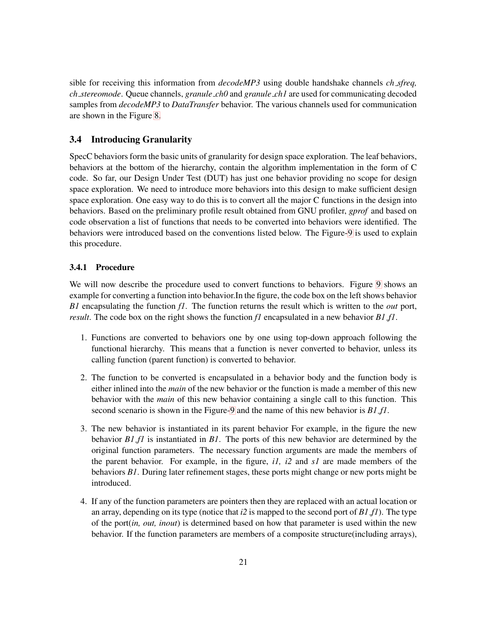sible for receiving this information from *decodeMP3* using double handshake channels *ch sfreq, ch stereomode*. Queue channels, *granule ch0* and *granule ch1* are used for communicating decoded samples from *decodeMP3* to *DataTransfer* behavior. The various channels used for communication are shown in the Figure [8.](#page-26-0)

# <span id="page-27-0"></span>**3.4 Introducing Granularity**

SpecC behaviors form the basic units of granularity for design space exploration. The leaf behaviors, behaviors at the bottom of the hierarchy, contain the algorithm implementation in the form of C code. So far, our Design Under Test (DUT) has just one behavior providing no scope for design space exploration. We need to introduce more behaviors into this design to make sufficient design space exploration. One easy way to do this is to convert all the major C functions in the design into behaviors. Based on the preliminary profile result obtained from GNU profiler, *gprof* and based on code observation a list of functions that needs to be converted into behaviors were identified. The behaviors were introduced based on the conventions listed below. The Figure[-9](#page-27-0) is used to explain this procedure.

#### <span id="page-27-1"></span>**3.4.1 Procedure**

We will now describe the procedure used to convert functions to behaviors. Figure [9](#page-27-0) shows an example for converting a function into behavior. In the figure, the code box on the left shows behavior *B1* encapsulating the function *f1*. The function returns the result which is written to the *out* port, *result*. The code box on the right shows the function *f1* encapsulated in a new behavior *B1 f1*.

- 1. Functions are converted to behaviors one by one using top-down approach following the functional hierarchy. This means that a function is never converted to behavior, unless its calling function (parent function) is converted to behavior.
- 2. The function to be converted is encapsulated in a behavior body and the function body is either inlined into the *main* of the new behavior or the function is made a member of this new behavior with the *main* of this new behavior containing a single call to this function. This second scenario is shown in the Figure[-9](#page-27-0) and the name of this new behavior is *B1 f1*.
- 3. The new behavior is instantiated in its parent behavior For example, in the figure the new behavior *B1 f1* is instantiated in *B1*. The ports of this new behavior are determined by the original function parameters. The necessary function arguments are made the members of the parent behavior. For example, in the figure, *i1, i2* and *s1* are made members of the behaviors *B1*. During later refinement stages, these ports might change or new ports might be introduced.
- 4. If any of the function parameters are pointers then they are replaced with an actual location or an array, depending on its type (notice that *i2* is mapped to the second port of *B1 f1*). The type of the port(*in, out, inout*) is determined based on how that parameter is used within the new behavior. If the function parameters are members of a composite structure(including arrays),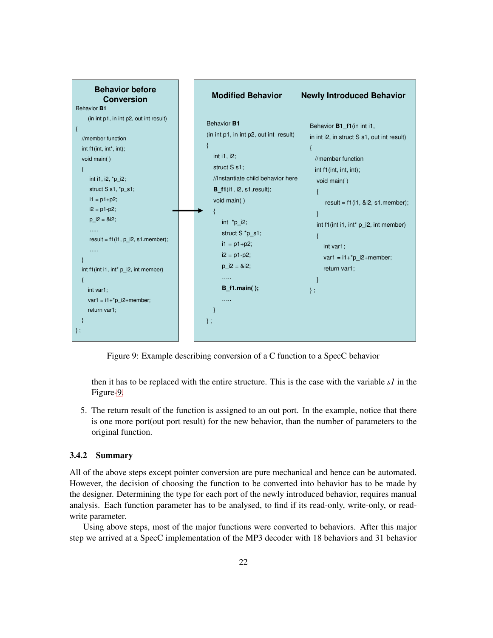

Figure 9: Example describing conversion of a C function to a SpecC behavior

then it has to be replaced with the entire structure. This is the case with the variable *s1* in the Figure[-9.](#page-27-0)

5. The return result of the function is assigned to an out port. In the example, notice that there is one more port(out port result) for the new behavior, than the number of parameters to the original function.

# <span id="page-28-0"></span>**3.4.2 Summary**

All of the above steps except pointer conversion are pure mechanical and hence can be automated. However, the decision of choosing the function to be converted into behavior has to be made by the designer. Determining the type for each port of the newly introduced behavior, requires manual analysis. Each function parameter has to be analysed, to find if its read-only, write-only, or readwrite parameter.

Using above steps, most of the major functions were converted to behaviors. After this major step we arrived at a SpecC implementation of the MP3 decoder with 18 behaviors and 31 behavior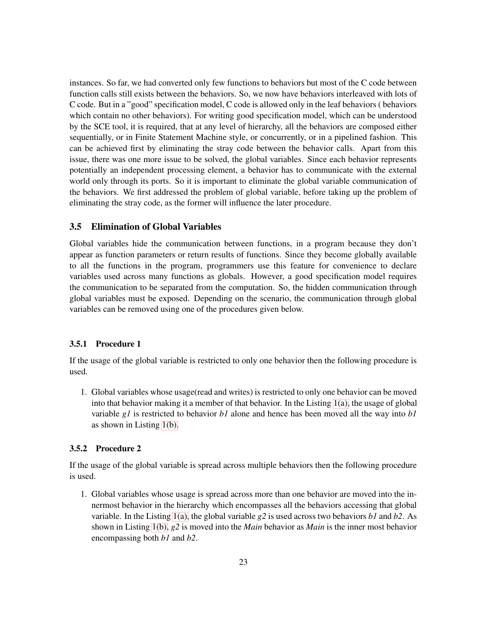instances. So far, we had converted only few functions to behaviors but most of the C code between function calls still exists between the behaviors. So, we now have behaviors interleaved with lots of C code. But in a "good" specification model, C code is allowed only in the leaf behaviors ( behaviors which contain no other behaviors). For writing good specification model, which can be understood by the SCE tool, it is required, that at any level of hierarchy, all the behaviors are composed either sequentially, or in Finite Statement Machine style, or concurrently, or in a pipelined fashion. This can be achieved first by eliminating the stray code between the behavior calls. Apart from this issue, there was one more issue to be solved, the global variables. Since each behavior represents potentially an independent processing element, a behavior has to communicate with the external world only through its ports. So it is important to eliminate the global variable communication of the behaviors. We first addressed the problem of global variable, before taking up the problem of eliminating the stray code, as the former will influence the later procedure.

# <span id="page-29-0"></span>**3.5 Elimination of Global Variables**

Global variables hide the communication between functions, in a program because they don't appear as function parameters or return results of functions. Since they become globally available to all the functions in the program, programmers use this feature for convenience to declare variables used across many functions as globals. However, a good specification model requires the communication to be separated from the computation. So, the hidden communication through global variables must be exposed. Depending on the scenario, the communication through global variables can be removed using one of the procedures given below.

#### <span id="page-29-1"></span>**3.5.1 Procedure 1**

If the usage of the global variable is restricted to only one behavior then the following procedure is used.

1. Global variables whose usage(read and writes) is restricted to only one behavior can be moved into that behavior making it a member of that behavior. In the Listing  $1(a)$ , the usage of global variable *g1* is restricted to behavior *b1* alone and hence has been moved all the way into *b1* as shown in Listing [1\(b\).](#page-30-1)

#### <span id="page-29-2"></span>**3.5.2 Procedure 2**

If the usage of the global variable is spread across multiple behaviors then the following procedure is used.

1. Global variables whose usage is spread across more than one behavior are moved into the innermost behavior in the hierarchy which encompasses all the behaviors accessing that global variable. In the Listing 1(a), the global variable *g2* is used across two behaviors *b1* and *b2*. As shown in Listing [1\(b\),](#page-30-1) *g2* is moved into the *Main* behavior as *Main* is the inner most behavior encompassing both *b1* and *b2*.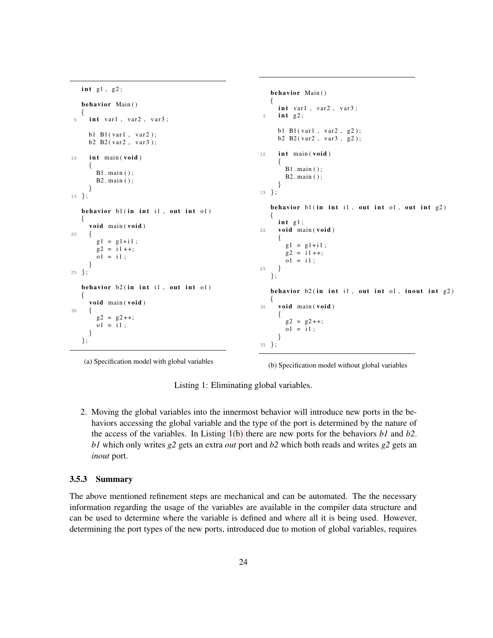```
i n t g1 , g2 ;
   behavior Main ( )
   {
 5 int var1, var2, var3;
     b1 B1(var1, var2);
     b2 B2(var2, var3);
10 i n t main ( void )
     {
       B1 . main ( ) ;
       B2 . main ( ) ;
     }
15 };
   behavior b1 ( in i n t i1 , out i n t o1 )
   {
     void main ( void )
20 \{g1 = g1 + i1;
       g2 = i1++;ol = i1:
     }
25 };
   behavior b2 ( in i n t i1 , out i n t o1 )
   {
     void main ( void )
30 {
        g2 = g2 + +;
        o1 = i1;}
   };
                                                               behavior Main ( )
                                                               {
                                                                 int var1, var2, var3;
                                                                 5 i n t g2 ;
                                                                 b1 B1 ( var1, var2, g2);
                                                                 b2 B2(var2, var3, g2);
                                                           10 i n t main ( void )
                                                                 {
                                                                   B1. main ():
                                                                   B2 . main ( ) ;
                                                                 }
                                                           15 };
                                                               behavior b1 ( in i n t i1 , out i n t o1 , out i n t g2 )
                                                               {
                                                                 i n t g1 ;
                                                           20 void main ( void )
                                                                 {
                                                                   g1 = g1 + i1;
                                                                   g2 = i1++;ol = i1;25 }
                                                               };
                                                               behavior b2 ( in i n t i1 , out i n t o1 , inout i n t g2 )
                                                               {
                                                           30 void main ( void )
                                                                 {
                                                                   g2 = g2++;o1 = i1;}
                                                           35 };
```
(a) Specification model with global variables

(b) Specification model without global variables

<span id="page-30-1"></span>Listing 1: Eliminating global variables.

2. Moving the global variables into the innermost behavior will introduce new ports in the behaviors accessing the global variable and the type of the port is determined by the nature of the access of the variables. In Listing [1\(b\)](#page-30-1) there are new ports for the behaviors *b1* and *b2*. *b1* which only writes *g2* gets an extra *out* port and *b2* which both reads and writes *g2* gets an *inout* port.

## <span id="page-30-0"></span>**3.5.3 Summary**

The above mentioned refinement steps are mechanical and can be automated. The the necessary information regarding the usage of the variables are available in the compiler data structure and can be used to determine where the variable is defined and where all it is being used. However, determining the port types of the new ports, introduced due to motion of global variables, requires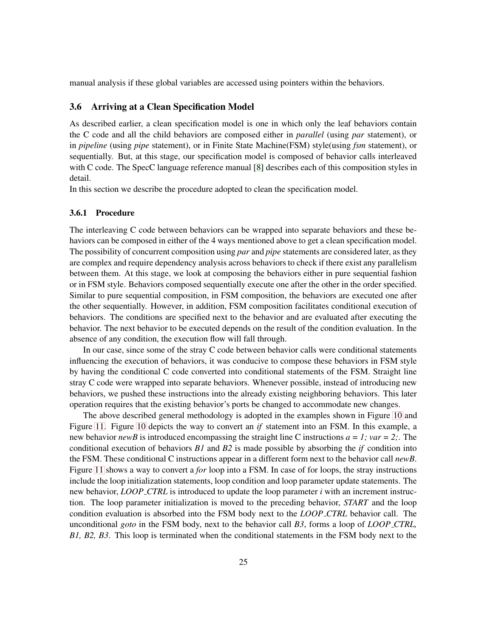<span id="page-31-0"></span>manual analysis if these global variables are accessed using pointers within the behaviors.

# **3.6 Arriving at a Clean Specification Model**

As described earlier, a clean specification model is one in which only the leaf behaviors contain the C code and all the child behaviors are composed either in *parallel* (using *par* statement), or in *pipeline* (using *pipe* statement), or in Finite State Machine(FSM) style(using *fsm* statement), or sequentially. But, at this stage, our specification model is composed of behavior calls interleaved with C code. The SpecC language reference manual [\[8\]](#page-65-10) describes each of this composition styles in detail.

In this section we describe the procedure adopted to clean the specification model.

#### <span id="page-31-1"></span>**3.6.1 Procedure**

The interleaving C code between behaviors can be wrapped into separate behaviors and these behaviors can be composed in either of the 4 ways mentioned above to get a clean specification model. The possibility of concurrent composition using *par* and *pipe* statements are considered later, as they are complex and require dependency analysis across behaviors to check if there exist any parallelism between them. At this stage, we look at composing the behaviors either in pure sequential fashion or in FSM style. Behaviors composed sequentially execute one after the other in the order specified. Similar to pure sequential composition, in FSM composition, the behaviors are executed one after the other sequentially. However, in addition, FSM composition facilitates conditional execution of behaviors. The conditions are specified next to the behavior and are evaluated after executing the behavior. The next behavior to be executed depends on the result of the condition evaluation. In the absence of any condition, the execution flow will fall through.

In our case, since some of the stray C code between behavior calls were conditional statements influencing the execution of behaviors, it was conducive to compose these behaviors in FSM style by having the conditional C code converted into conditional statements of the FSM. Straight line stray C code were wrapped into separate behaviors. Whenever possible, instead of introducing new behaviors, we pushed these instructions into the already existing neighboring behaviors. This later operation requires that the existing behavior's ports be changed to accommodate new changes.

The above described general methodology is adopted in the examples shown in Figure [10](#page-31-1) and Figure [11.](#page-31-1) Figure [10](#page-31-1) depicts the way to convert an *if* statement into an FSM. In this example, a new behavior *newB* is introduced encompassing the straight line C instructions  $a = 1$ ;  $var = 2$ ; The conditional execution of behaviors *B1* and *B2* is made possible by absorbing the *if* condition into the FSM. These conditional C instructions appear in a different form next to the behavior call *newB*. Figure [11](#page-31-1) shows a way to convert a *for* loop into a FSM. In case of for loops, the stray instructions include the loop initialization statements, loop condition and loop parameter update statements. The new behavior, *LOOP CTRL* is introduced to update the loop parameter *i* with an increment instruction. The loop parameter initialization is moved to the preceding behavior, *START* and the loop condition evaluation is absorbed into the FSM body next to the *LOOP CTRL* behavior call. The unconditional *goto* in the FSM body, next to the behavior call *B3*, forms a loop of *LOOP CTRL, B1, B2, B3*. This loop is terminated when the conditional statements in the FSM body next to the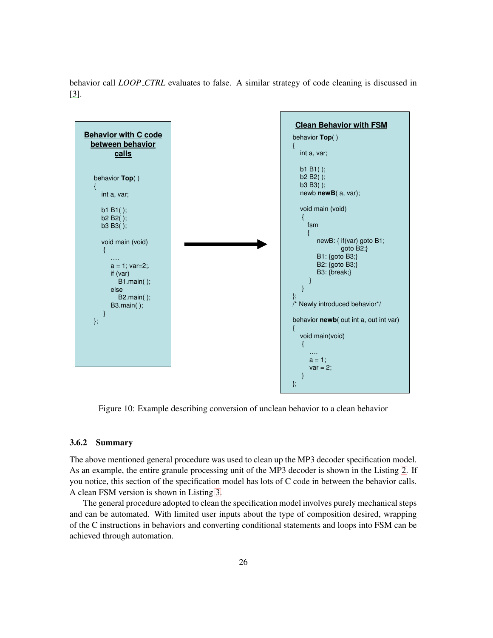behavior call *LOOP CTRL* evaluates to false. A similar strategy of code cleaning is discussed in [\[3\]](#page-65-11).



Figure 10: Example describing conversion of unclean behavior to a clean behavior

#### <span id="page-32-0"></span>**3.6.2 Summary**

The above mentioned general procedure was used to clean up the MP3 decoder specification model. As an example, the entire granule processing unit of the MP3 decoder is shown in the Listing [2.](#page-33-0) If you notice, this section of the specification model has lots of C code in between the behavior calls. A clean FSM version is shown in Listing [3.](#page-34-0)

The general procedure adopted to clean the specification model involves purely mechanicalsteps and can be automated. With limited user inputs about the type of composition desired, wrapping of the C instructions in behaviors and converting conditional statements and loops into FSM can be achieved through automation.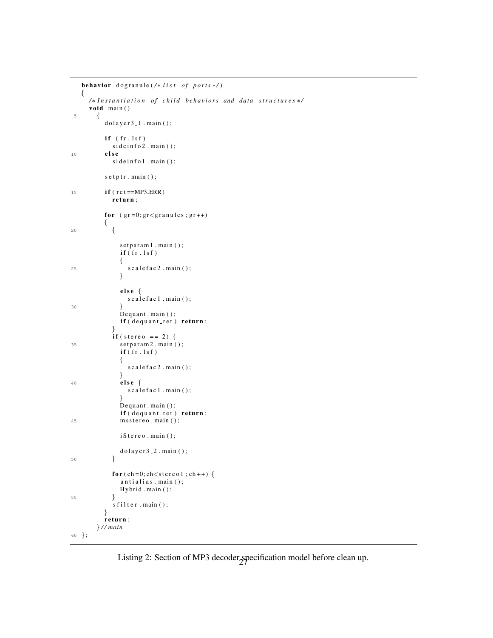```
behavior dogranule (/* list of ports */)
   {
     /* Instantiation of child behaviors and data structures */
     void main ( )
5 {
          dolayer3<sub>-1</sub>. main();
          if (fr.lsf)
            si de info 2 . main ();
10 e ls e
            side infol.main();
          s e t p t r . main ( );
15 i f ( r e t ==MP3 ERR)
            r e turn ;
          for (gr=0; gr < gr anules; gr++){
20 {
               setparam1 . main ( );\mathbf{if}(\mathbf{fr}.\mathbf{lsf}){
25 scale fac 2 . main ();
               }
               e ls e {
                 s c a l e f a c 1 . main ();
30 }
               Dequant . main ();
               if (dequant_ret) return;}
            if (stereo == 2)35 setparam2.main();
               \mathbf{if}(\mathbf{fr}.\mathbf{lsf})\{s c a l e f a c 2 . main ( );
               }
40 e ls e {
                 scalefac1 . main();
               }
               Dequant . main ();
               if (dequant_ret) return;45 msstereo.main();
               i S t e r e o . main ();
               d o l a y e r 3 _ 2 . main ( ) ;
50 }
            for (ch=0; ch < stereo1; ch++) {
               antialias.main( );
               Hybrid . main ( ) ;
55 }
            s f i l t e r . main ( ) ;
          }
          r e turn ;
        } / / main
60 };
```
<span id="page-33-0"></span>Listing 2: Section of MP3 decoder specification model before clean up.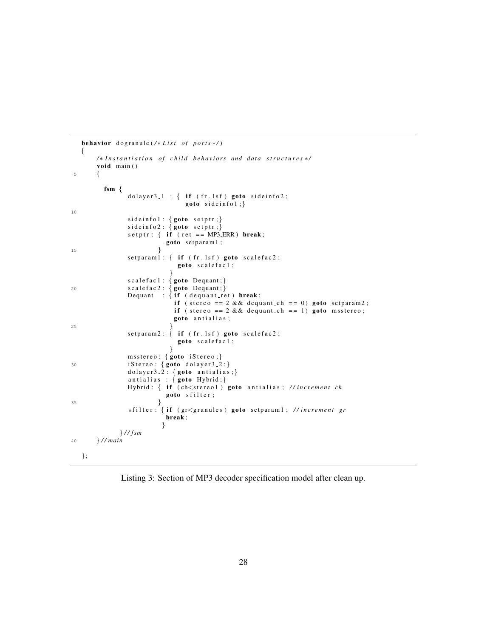```
behavior dogranule (/* List of ports */)
   {
        /* Instantiation of child behaviors and data structures */
        void main ( )
 5 {
          fsm {
                 dolayer3_1 : { if (fr.1sf) goto sideinfo2;
                                   goto sideinfol;}
10
                 siderin f o 1: { <b>goto</b> setptr; }siderin f \circ 2 : \{ <b>goto</b> setptr; \}\text{setptr}: \{ \text{if} (\text{ret} == \text{MP3\_ERR}) \text{break};goto setparam1;
\left\{\n \begin{array}{ccc}\n 15 & & \\
 \end{array}\n \right\}\text{setparam1:} \{ \text{if} (\text{fr}.\text{lsf}) \text{goto} \text{scalefac2};goto scalefac1;
                              }
                  s c a l e f a c 1 : { goto Dequant ;}
20 s c a l e f a c 2 : { goto Dequant ;}
                 Dequant : {if (dequant\_ret) break}if ( stereo == 2 && dequant_ch == 0) goto setparam2;
                               if (stereo == 2 && dequant ch == 1) goto msstereo;
                               goto antialias;
25 \Big\}setparam2: \{ if (fr.lsf) goto scalefac2;goto scalefac1;
                              }
                 msstereo: { goto iStereo;}
30 i Stereo : { goto dolayer 3 2;}
                 dolayer 3 - 2: { goto antialias ; }
                 antialias : { goto Hybrid;}
                 Hybrid: { if (ch<stereo1) goto antialias; //increment ch
                             goto sfilter;
\left\{\right. \right\}s filter : { if (gr<granules) goto setparam1; //increment gr
                             break ;
                            }
              } / / fsm
40 } / / main
   };
```
<span id="page-34-0"></span>Listing 3: Section of MP3 decoder specification model after clean up.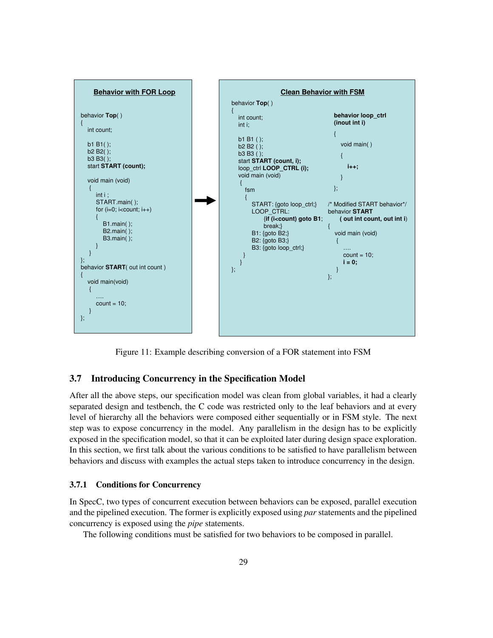

Figure 11: Example describing conversion of a FOR statement into FSM

# <span id="page-35-0"></span>**3.7 Introducing Concurrency in the Specification Model**

After all the above steps, our specification model was clean from global variables, it had a clearly separated design and testbench, the C code was restricted only to the leaf behaviors and at every level of hierarchy all the behaviors were composed either sequentially or in FSM style. The next step was to expose concurrency in the model. Any parallelism in the design has to be explicitly exposed in the specification model, so that it can be exploited later during design space exploration. In this section, we first talk about the various conditions to be satisfied to have parallelism between behaviors and discuss with examples the actual steps taken to introduce concurrency in the design.

#### <span id="page-35-1"></span>**3.7.1 Conditions for Concurrency**

In SpecC, two types of concurrent execution between behaviors can be exposed, parallel execution and the pipelined execution. The former is explicitly exposed using *par* statements and the pipelined concurrency is exposed using the *pipe* statements.

The following conditions must be satisfied for two behaviors to be composed in parallel.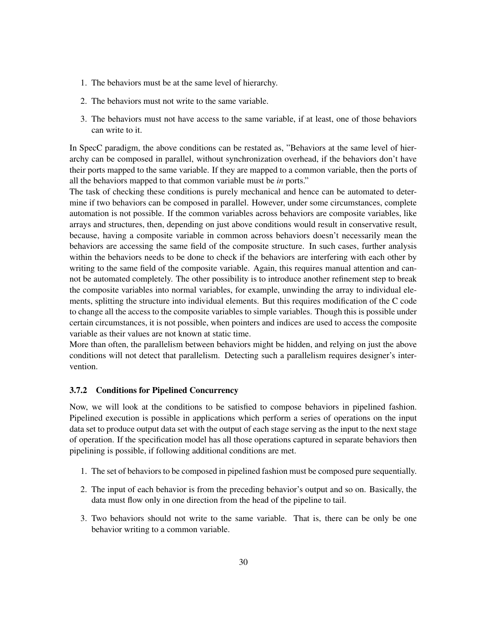- 1. The behaviors must be at the same level of hierarchy.
- 2. The behaviors must not write to the same variable.
- 3. The behaviors must not have access to the same variable, if at least, one of those behaviors can write to it.

In SpecC paradigm, the above conditions can be restated as, "Behaviors at the same level of hierarchy can be composed in parallel, without synchronization overhead, if the behaviors don't have their ports mapped to the same variable. If they are mapped to a common variable, then the ports of all the behaviors mapped to that common variable must be *in* ports."

The task of checking these conditions is purely mechanical and hence can be automated to determine if two behaviors can be composed in parallel. However, under some circumstances, complete automation is not possible. If the common variables across behaviors are composite variables, like arrays and structures, then, depending on just above conditions would result in conservative result, because, having a composite variable in common across behaviors doesn't necessarily mean the behaviors are accessing the same field of the composite structure. In such cases, further analysis within the behaviors needs to be done to check if the behaviors are interfering with each other by writing to the same field of the composite variable. Again, this requires manual attention and cannot be automated completely. The other possibility is to introduce another refinement step to break the composite variables into normal variables, for example, unwinding the array to individual elements, splitting the structure into individual elements. But this requires modification of the C code to change all the access to the composite variables to simple variables. Though this is possible under certain circumstances, it is not possible, when pointers and indices are used to access the composite variable as their values are not known at static time.

More than often, the parallelism between behaviors might be hidden, and relying on just the above conditions will not detect that parallelism. Detecting such a parallelism requires designer's intervention.

# <span id="page-36-0"></span>**3.7.2 Conditions for Pipelined Concurrency**

Now, we will look at the conditions to be satisfied to compose behaviors in pipelined fashion. Pipelined execution is possible in applications which perform a series of operations on the input data set to produce output data set with the output of each stage serving as the input to the next stage of operation. If the specification model has all those operations captured in separate behaviors then pipelining is possible, if following additional conditions are met.

- 1. The set of behaviors to be composed in pipelined fashion must be composed pure sequentially.
- 2. The input of each behavior is from the preceding behavior's output and so on. Basically, the data must flow only in one direction from the head of the pipeline to tail.
- 3. Two behaviors should not write to the same variable. That is, there can be only be one behavior writing to a common variable.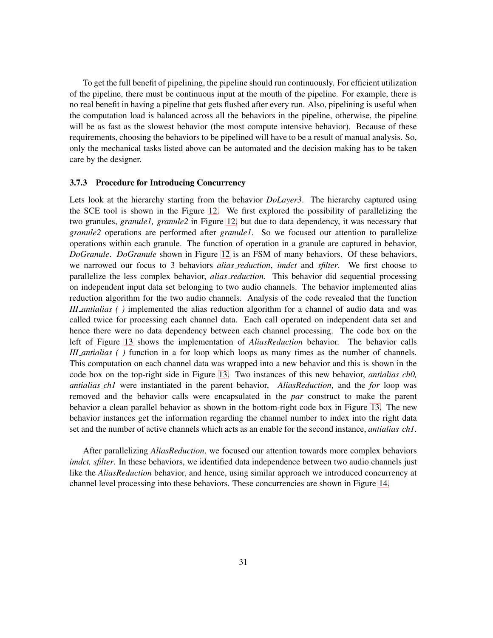To get the full benefit of pipelining, the pipeline should run continuously. For efficient utilization of the pipeline, there must be continuous input at the mouth of the pipeline. For example, there is no real benefit in having a pipeline that gets flushed after every run. Also, pipelining is useful when the computation load is balanced across all the behaviors in the pipeline, otherwise, the pipeline will be as fast as the slowest behavior (the most compute intensive behavior). Because of these requirements, choosing the behaviors to be pipelined will have to be a result of manual analysis. So, only the mechanical tasks listed above can be automated and the decision making has to be taken care by the designer.

#### <span id="page-37-0"></span>**3.7.3 Procedure for Introducing Concurrency**

Lets look at the hierarchy starting from the behavior *DoLayer3*. The hierarchy captured using the SCE tool is shown in the Figure [12.](#page-37-0) We first explored the possibility of parallelizing the two granules, *granule1, granule2* in Figure [12,](#page-37-0) but due to data dependency, it was necessary that *granule2* operations are performed after *granule1*. So we focused our attention to parallelize operations within each granule. The function of operation in a granule are captured in behavior, *DoGranule*. *DoGranule* shown in Figure [12](#page-37-0) is an FSM of many behaviors. Of these behaviors, we narrowed our focus to 3 behaviors *alias reduction*, *imdct* and *sfilter*. We first choose to parallelize the less complex behavior, *alias reduction*. This behavior did sequential processing on independent input data set belonging to two audio channels. The behavior implemented alias reduction algorithm for the two audio channels. Analysis of the code revealed that the function *III antialias ( )* implemented the alias reduction algorithm for a channel of audio data and was called twice for processing each channel data. Each call operated on independent data set and hence there were no data dependency between each channel processing. The code box on the left of Figure [13](#page-37-0) shows the implementation of *AliasReduction* behavior. The behavior calls *III antialias ( )* function in a for loop which loops as many times as the number of channels. This computation on each channel data was wrapped into a new behavior and this is shown in the code box on the top-right side in Figure [13.](#page-37-0) Two instances of this new behavior, *antialias ch0, antialias ch1* were instantiated in the parent behavior, *AliasReduction*, and the *for* loop was removed and the behavior calls were encapsulated in the *par* construct to make the parent behavior a clean parallel behavior as shown in the bottom-right code box in Figure [13.](#page-37-0) The new behavior instances get the information regarding the channel number to index into the right data set and the number of active channels which acts as an enable for the second instance, *antialias ch1*.

After parallelizing *AliasReduction*, we focused our attention towards more complex behaviors *imdct, sfilter*. In these behaviors, we identified data independence between two audio channels just like the *AliasReduction* behavior, and hence, using similar approach we introduced concurrency at channel level processing into these behaviors. These concurrencies are shown in Figure [14.](#page-37-0)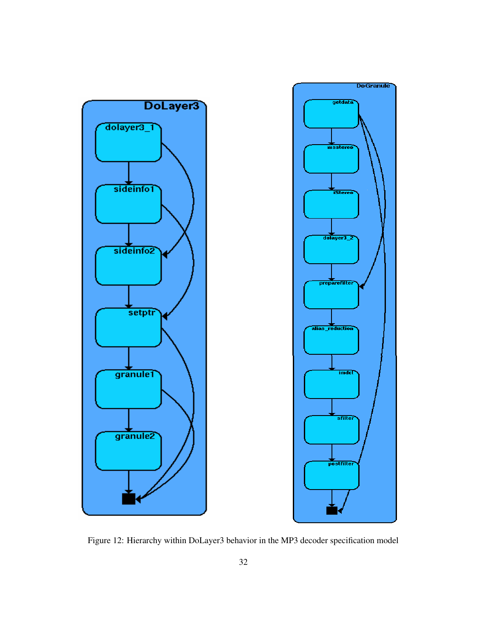

Figure 12: Hierarchy within DoLayer3 behavior in the MP3 decoder specification model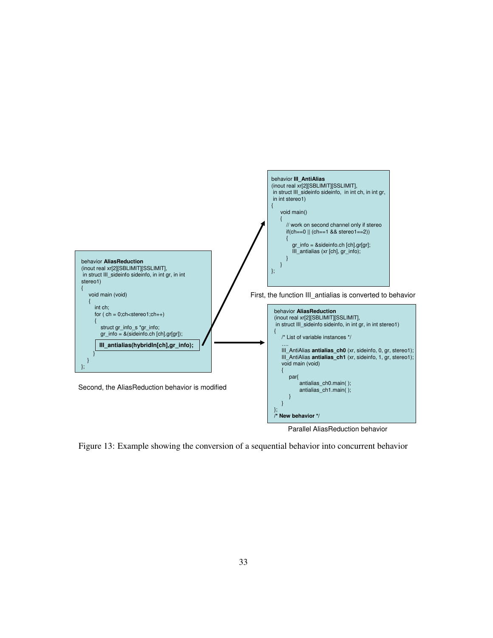

Parallel AliasReduction behavior

Figure 13: Example showing the conversion of a sequential behavior into concurrent behavior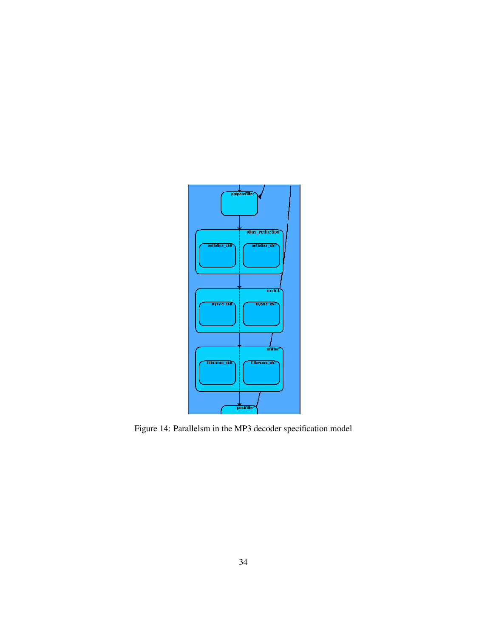

Figure 14: Parallelsm in the MP3 decoder specification model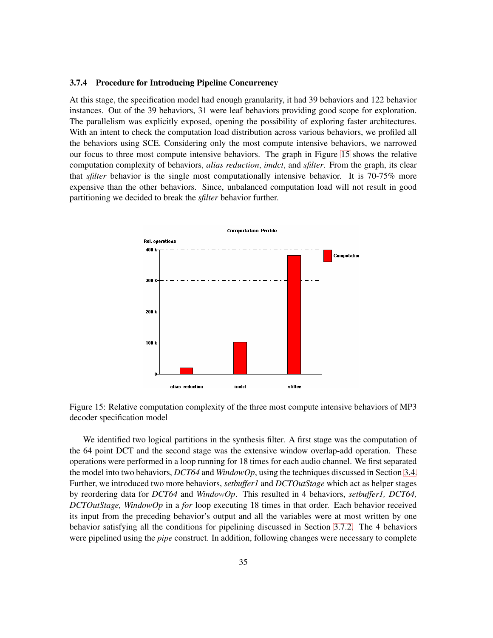#### <span id="page-41-0"></span>**3.7.4 Procedure for Introducing Pipeline Concurrency**

At this stage, the specification model had enough granularity, it had 39 behaviors and 122 behavior instances. Out of the 39 behaviors, 31 were leaf behaviors providing good scope for exploration. The parallelism was explicitly exposed, opening the possibility of exploring faster architectures. With an intent to check the computation load distribution across various behaviors, we profiled all the behaviors using SCE. Considering only the most compute intensive behaviors, we narrowed our focus to three most compute intensive behaviors. The graph in Figure [15](#page-41-0) shows the relative computation complexity of behaviors, *alias reduction*, *imdct*, and *sfilter*. From the graph, its clear that *sfilter* behavior is the single most computationally intensive behavior. It is 70-75% more expensive than the other behaviors. Since, unbalanced computation load will not result in good partitioning we decided to break the *sfilter* behavior further.





We identified two logical partitions in the synthesis filter. A first stage was the computation of the 64 point DCT and the second stage was the extensive window overlap-add operation. These operations were performed in a loop running for 18 times for each audio channel. We first separated the model into two behaviors, *DCT64* and *WindowOp*, using the techniques discussed in Section [3.4.](#page-27-0) Further, we introduced two more behaviors, *setbuffer1* and *DCTOutStage* which act as helper stages by reordering data for *DCT64* and *WindowOp*. This resulted in 4 behaviors, *setbuffer1, DCT64, DCTOutStage, WindowOp* in a *for* loop executing 18 times in that order. Each behavior received its input from the preceding behavior's output and all the variables were at most written by one behavior satisfying all the conditions for pipelining discussed in Section [3.7.2.](#page-36-0) The 4 behaviors were pipelined using the *pipe* construct. In addition, following changes were necessary to complete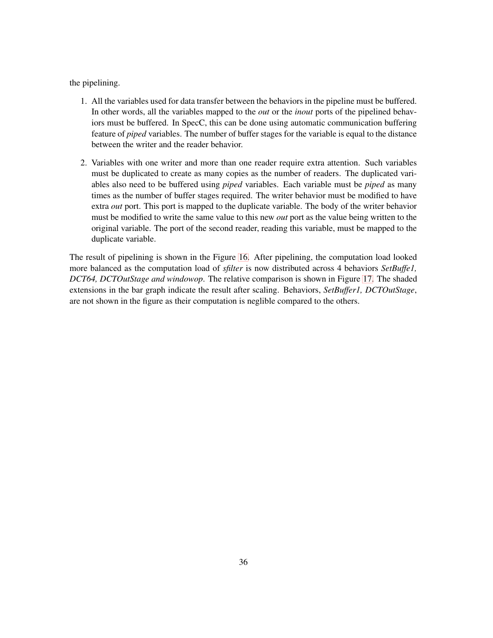the pipelining.

- 1. All the variables used for data transfer between the behaviors in the pipeline must be buffered. In other words, all the variables mapped to the *out* or the *inout* ports of the pipelined behaviors must be buffered. In SpecC, this can be done using automatic communication buffering feature of *piped* variables. The number of buffer stages for the variable is equal to the distance between the writer and the reader behavior.
- <span id="page-42-0"></span>2. Variables with one writer and more than one reader require extra attention. Such variables must be duplicated to create as many copies as the number of readers. The duplicated variables also need to be buffered using *piped* variables. Each variable must be *piped* as many times as the number of buffer stages required. The writer behavior must be modified to have extra *out* port. This port is mapped to the duplicate variable. The body of the writer behavior must be modified to write the same value to this new *out* port as the value being written to the original variable. The port of the second reader, reading this variable, must be mapped to the duplicate variable.

The result of pipelining is shown in the Figure [16.](#page-42-0) After pipelining, the computation load looked more balanced as the computation load of *sfilter* is now distributed across 4 behaviors *SetBuffe1, DCT64, DCTOutStage and windowop*. The relative comparison is shown in Figure [17.](#page-42-0) The shaded extensions in the bar graph indicate the result after scaling. Behaviors, *SetBuffer1, DCTOutStage*, are not shown in the figure as their computation is neglible compared to the others.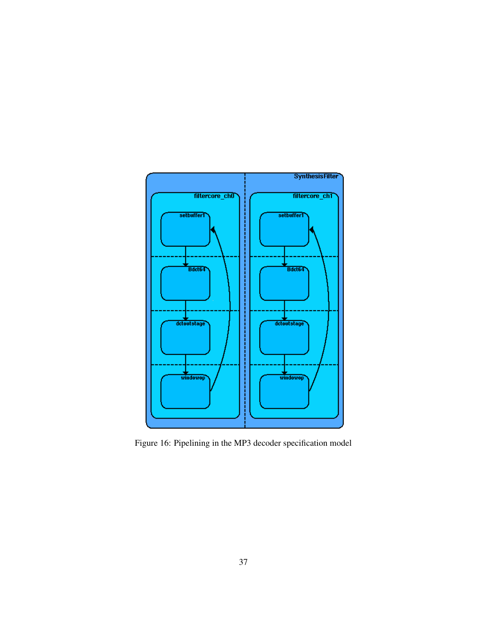

Figure 16: Pipelining in the MP3 decoder specification model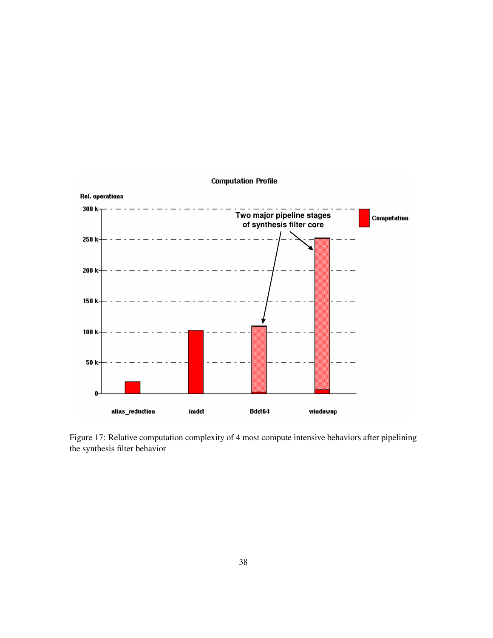

Figure 17: Relative computation complexity of 4 most compute intensive behaviors after pipelining the synthesis filter behavior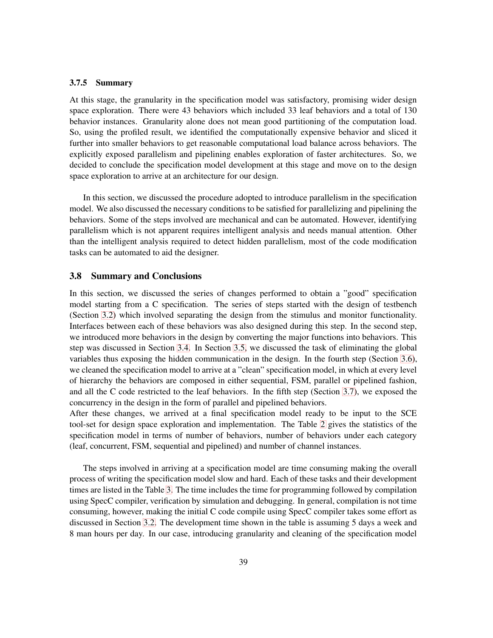#### <span id="page-45-0"></span>**3.7.5 Summary**

At this stage, the granularity in the specification model was satisfactory, promising wider design space exploration. There were 43 behaviors which included 33 leaf behaviors and a total of 130 behavior instances. Granularity alone does not mean good partitioning of the computation load. So, using the profiled result, we identified the computationally expensive behavior and sliced it further into smaller behaviors to get reasonable computational load balance across behaviors. The explicitly exposed parallelism and pipelining enables exploration of faster architectures. So, we decided to conclude the specification model development at this stage and move on to the design space exploration to arrive at an architecture for our design.

In this section, we discussed the procedure adopted to introduce parallelism in the specification model. We also discussed the necessary conditions to be satisfied for parallelizing and pipelining the behaviors. Some of the steps involved are mechanical and can be automated. However, identifying parallelism which is not apparent requires intelligent analysis and needs manual attention. Other than the intelligent analysis required to detect hidden parallelism, most of the code modification tasks can be automated to aid the designer.

#### <span id="page-45-1"></span>**3.8 Summary and Conclusions**

In this section, we discussed the series of changes performed to obtain a "good" specification model starting from a C specification. The series of steps started with the design of testbench (Section [3.2\)](#page-22-0) which involved separating the design from the stimulus and monitor functionality. Interfaces between each of these behaviors was also designed during this step. In the second step, we introduced more behaviors in the design by converting the major functions into behaviors. This step was discussed in Section [3.4.](#page-27-0) In Section [3.5,](#page-29-0) we discussed the task of eliminating the global variables thus exposing the hidden communication in the design. In the fourth step (Section [3.6\)](#page-31-0), we cleaned the specification model to arrive at a "clean" specification model, in which at every level of hierarchy the behaviors are composed in either sequential, FSM, parallel or pipelined fashion, and all the C code restricted to the leaf behaviors. In the fifth step (Section [3.7\)](#page-35-0), we exposed the concurrency in the design in the form of parallel and pipelined behaviors.

After these changes, we arrived at a final specification model ready to be input to the SCE tool-set for design space exploration and implementation. The Table [2](#page-45-1) gives the statistics of the specification model in terms of number of behaviors, number of behaviors under each category (leaf, concurrent, FSM, sequential and pipelined) and number of channel instances.

The steps involved in arriving at a specification model are time consuming making the overall process of writing the specification model slow and hard. Each of these tasks and their development times are listed in the Table [3.](#page-45-1) The time includes the time for programming followed by compilation using SpecC compiler, verification by simulation and debugging. In general, compilation is not time consuming, however, making the initial C code compile using SpecC compiler takes some effort as discussed in Section [3.2.](#page-22-0) The development time shown in the table is assuming 5 days a week and 8 man hours per day. In our case, introducing granularity and cleaning of the specification model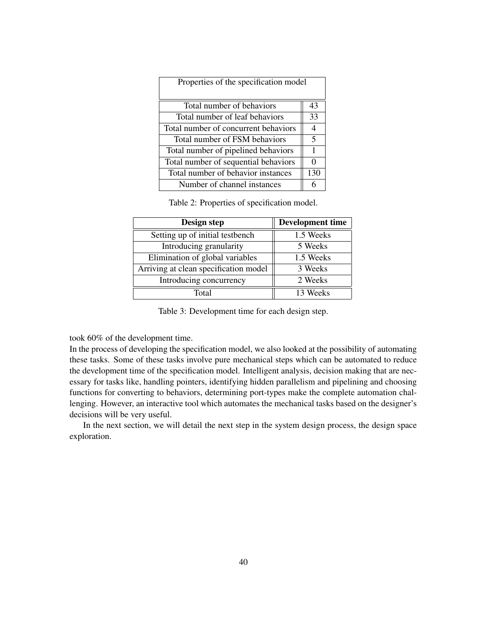| Properties of the specification model |                |  |
|---------------------------------------|----------------|--|
| Total number of behaviors             | 43             |  |
| Total number of leaf behaviors        | 33             |  |
| Total number of concurrent behaviors  | $\overline{4}$ |  |
| Total number of FSM behaviors         | 5              |  |
| Total number of pipelined behaviors   |                |  |
| Total number of sequential behaviors  | $\Omega$       |  |
| Total number of behavior instances    | 130            |  |
| Number of channel instances           |                |  |

Table 2: Properties of specification model.

| Design step                           | <b>Development time</b> |
|---------------------------------------|-------------------------|
| Setting up of initial testbench       | 1.5 Weeks               |
| Introducing granularity               | 5 Weeks                 |
| Elimination of global variables       | 1.5 Weeks               |
| Arriving at clean specification model | 3 Weeks                 |
| Introducing concurrency               | 2 Weeks                 |
| Total                                 | 13 Weeks                |

Table 3: Development time for each design step.

took 60% of the development time.

In the process of developing the specification model, we also looked at the possibility of automating these tasks. Some of these tasks involve pure mechanical steps which can be automated to reduce the development time of the specification model. Intelligent analysis, decision making that are necessary for tasks like, handling pointers, identifying hidden parallelism and pipelining and choosing functions for converting to behaviors, determining port-types make the complete automation challenging. However, an interactive tool which automates the mechanical tasks based on the designer's decisions will be very useful.

In the next section, we will detail the next step in the system design process, the design space exploration.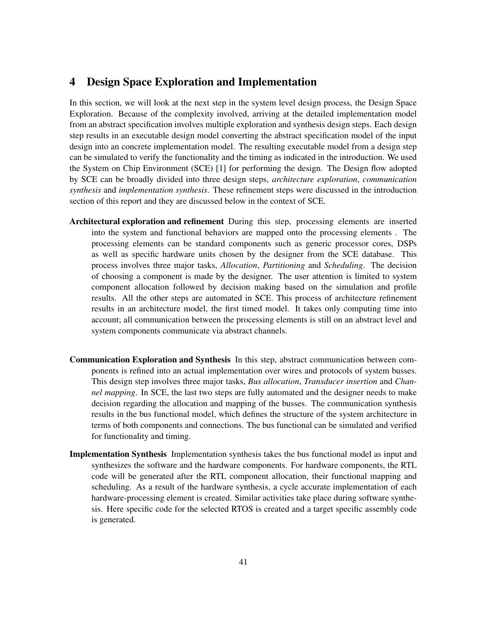# <span id="page-47-0"></span>**4 Design Space Exploration and Implementation**

In this section, we will look at the next step in the system level design process, the Design Space Exploration. Because of the complexity involved, arriving at the detailed implementation model from an abstract specification involves multiple exploration and synthesis design steps. Each design step results in an executable design model converting the abstract specification model of the input design into an concrete implementation model. The resulting executable model from a design step can be simulated to verify the functionality and the timing as indicated in the introduction. We used the System on Chip Environment (SCE) [\[1\]](#page-65-6) for performing the design. The Design flow adopted by SCE can be broadly divided into three design steps, *architecture exploration*, *communication synthesis* and *implementation synthesis*. These refinement steps were discussed in the introduction section of this report and they are discussed below in the context of SCE.

- **Architectural exploration and refinement** During this step, processing elements are inserted into the system and functional behaviors are mapped onto the processing elements . The processing elements can be standard components such as generic processor cores, DSPs as well as specific hardware units chosen by the designer from the SCE database. This process involves three major tasks, *Allocation*, *Partitioning* and *Scheduling*. The decision of choosing a component is made by the designer. The user attention is limited to system component allocation followed by decision making based on the simulation and profile results. All the other steps are automated in SCE. This process of architecture refinement results in an architecture model, the first timed model. It takes only computing time into account; all communication between the processing elements is still on an abstract level and system components communicate via abstract channels.
- **Communication Exploration and Synthesis** In this step, abstract communication between components is refined into an actual implementation over wires and protocols of system busses. This design step involves three major tasks, *Bus allocation*, *Transducer insertion* and *Channel mapping*. In SCE, the last two steps are fully automated and the designer needs to make decision regarding the allocation and mapping of the busses. The communication synthesis results in the bus functional model, which defines the structure of the system architecture in terms of both components and connections. The bus functional can be simulated and verified for functionality and timing.
- **Implementation Synthesis** Implementation synthesis takes the bus functional model as input and synthesizes the software and the hardware components. For hardware components, the RTL code will be generated after the RTL component allocation, their functional mapping and scheduling. As a result of the hardware synthesis, a cycle accurate implementation of each hardware-processing element is created. Similar activities take place during software synthesis. Here specific code for the selected RTOS is created and a target specific assembly code is generated.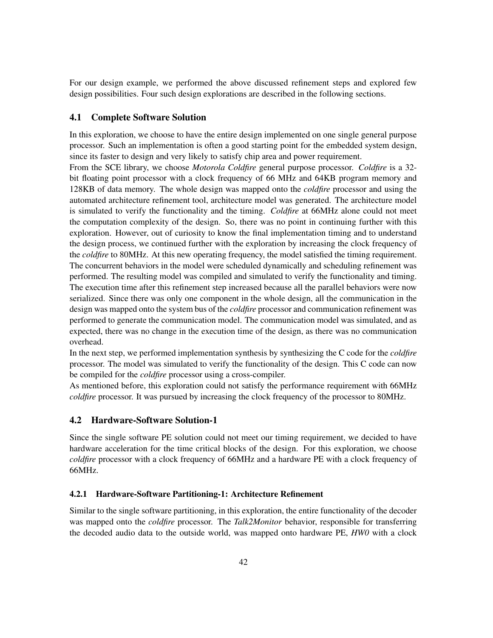For our design example, we performed the above discussed refinement steps and explored few design possibilities. Four such design explorations are described in the following sections.

#### <span id="page-48-0"></span>**4.1 Complete Software Solution**

In this exploration, we choose to have the entire design implemented on one single general purpose processor. Such an implementation is often a good starting point for the embedded system design, since its faster to design and very likely to satisfy chip area and power requirement.

From the SCE library, we choose *Motorola Coldfire* general purpose processor. *Coldfire* is a 32 bit floating point processor with a clock frequency of 66 MHz and 64KB program memory and 128KB of data memory. The whole design was mapped onto the *coldfire* processor and using the automated architecture refinement tool, architecture model was generated. The architecture model is simulated to verify the functionality and the timing. *Coldfire* at 66MHz alone could not meet the computation complexity of the design. So, there was no point in continuing further with this exploration. However, out of curiosity to know the final implementation timing and to understand the design process, we continued further with the exploration by increasing the clock frequency of the *coldfire* to 80MHz. At this new operating frequency, the model satisfied the timing requirement. The concurrent behaviors in the model were scheduled dynamically and scheduling refinement was performed. The resulting model was compiled and simulated to verify the functionality and timing. The execution time after this refinement step increased because all the parallel behaviors were now serialized. Since there was only one component in the whole design, all the communication in the design was mapped onto the system bus of the *coldfire* processor and communication refinement was performed to generate the communication model. The communication model was simulated, and as expected, there was no change in the execution time of the design, as there was no communication overhead.

In the next step, we performed implementation synthesis by synthesizing the C code for the *coldfire* processor. The model was simulated to verify the functionality of the design. This C code can now be compiled for the *coldfire* processor using a cross-compiler.

As mentioned before, this exploration could not satisfy the performance requirement with 66MHz *coldfire* processor. It was pursued by increasing the clock frequency of the processor to 80MHz.

# <span id="page-48-1"></span>**4.2 Hardware-Software Solution-1**

Since the single software PE solution could not meet our timing requirement, we decided to have hardware acceleration for the time critical blocks of the design. For this exploration, we choose *coldfire* processor with a clock frequency of 66MHz and a hardware PE with a clock frequency of 66MHz.

#### <span id="page-48-2"></span>**4.2.1 Hardware-Software Partitioning-1: Architecture Refinement**

Similar to the single software partitioning, in this exploration, the entire functionality of the decoder was mapped onto the *coldfire* processor. The *Talk2Monitor* behavior, responsible for transferring the decoded audio data to the outside world, was mapped onto hardware PE, *HW0* with a clock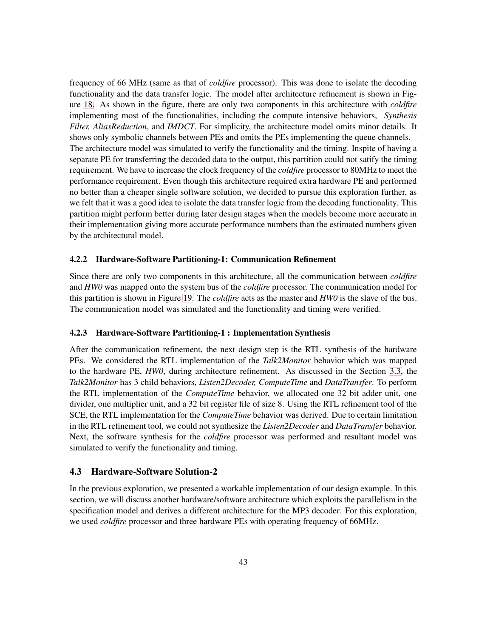frequency of 66 MHz (same as that of *coldfire* processor). This was done to isolate the decoding functionality and the data transfer logic. The model after architecture refinement is shown in Figure [18.](#page-48-2) As shown in the figure, there are only two components in this architecture with *coldfire* implementing most of the functionalities, including the compute intensive behaviors, *Synthesis Filter, AliasReduction*, and *IMDCT*. For simplicity, the architecture model omits minor details. It shows only symbolic channels between PEs and omits the PEs implementing the queue channels. The architecture model was simulated to verify the functionality and the timing. Inspite of having a separate PE for transferring the decoded data to the output, this partition could not satify the timing requirement. We have to increase the clock frequency of the *coldfire* processor to 80MHz to meet the performance requirement. Even though this architecture required extra hardware PE and performed no better than a cheaper single software solution, we decided to pursue this exploration further, as we felt that it was a good idea to isolate the data transfer logic from the decoding functionality. This partition might perform better during later design stages when the models become more accurate in their implementation giving more accurate performance numbers than the estimated numbers given by the architectural model.

#### <span id="page-49-0"></span>**4.2.2 Hardware-Software Partitioning-1: Communication Refinement**

Since there are only two components in this architecture, all the communication between *coldfire* and *HW0* was mapped onto the system bus of the *coldfire* processor. The communication model for this partition is shown in Figure [19.](#page-49-0) The *coldfire* acts as the master and *HW0* is the slave of the bus. The communication model was simulated and the functionality and timing were verified.

# <span id="page-49-1"></span>**4.2.3 Hardware-Software Partitioning-1 : Implementation Synthesis**

After the communication refinement, the next design step is the RTL synthesis of the hardware PEs. We considered the RTL implementation of the *Talk2Monitor* behavior which was mapped to the hardware PE, *HW0*, during architecture refinement. As discussed in the Section [3.3,](#page-26-0) the *Talk2Monitor* has 3 child behaviors, *Listen2Decoder, ComputeTime* and *DataTransfer*. To perform the RTL implementation of the *ComputeTime* behavior, we allocated one 32 bit adder unit, one divider, one multiplier unit, and a 32 bit register file of size 8. Using the RTL refinement tool of the SCE, the RTL implementation for the *ComputeTime* behavior was derived. Due to certain limitation in the RTL refinement tool, we could not synthesize the *Listen2Decoder* and *DataTransfer* behavior. Next, the software synthesis for the *coldfire* processor was performed and resultant model was simulated to verify the functionality and timing.

#### <span id="page-49-2"></span>**4.3 Hardware-Software Solution-2**

In the previous exploration, we presented a workable implementation of our design example. In this section, we will discuss another hardware/software architecture which exploits the parallelism in the specification model and derives a different architecture for the MP3 decoder. For this exploration, we used *coldfire* processor and three hardware PEs with operating frequency of 66MHz.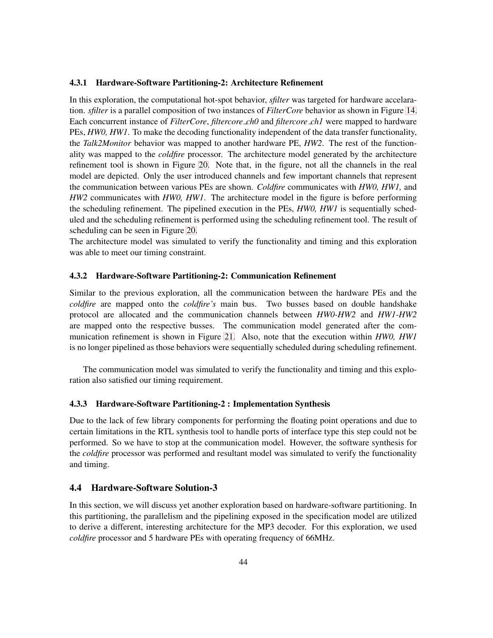#### <span id="page-50-0"></span>**4.3.1 Hardware-Software Partitioning-2: Architecture Refinement**

In this exploration, the computational hot-spot behavior, *sfilter* was targeted for hardware accelaration. *sfilter* is a parallel composition of two instances of *FilterCore* behavior as shown in Figure [14.](#page-37-0) Each concurrent instance of *FilterCore*, *filtercore ch0* and *filtercore ch1* were mapped to hardware PEs, *HW0, HW1*. To make the decoding functionality independent of the data transfer functionality, the *Talk2Monitor* behavior was mapped to another hardware PE, *HW2*. The rest of the functionality was mapped to the *coldfire* processor. The architecture model generated by the architecture refinement tool is shown in Figure [20.](#page-50-0) Note that, in the figure, not all the channels in the real model are depicted. Only the user introduced channels and few important channels that represent the communication between various PEs are shown. *Coldfire* communicates with *HW0, HW1,* and *HW2* communicates with *HW0, HW1*. The architecture model in the figure is before performing the scheduling refinement. The pipelined execution in the PEs, *HW0, HW1* is sequentially scheduled and the scheduling refinement is performed using the scheduling refinement tool. The result of scheduling can be seen in Figure [20.](#page-50-0)

The architecture model was simulated to verify the functionality and timing and this exploration was able to meet our timing constraint.

#### <span id="page-50-1"></span>**4.3.2 Hardware-Software Partitioning-2: Communication Refinement**

Similar to the previous exploration, all the communication between the hardware PEs and the *coldfire* are mapped onto the *coldfire's* main bus. Two busses based on double handshake protocol are allocated and the communication channels between *HW0-HW2* and *HW1-HW2* are mapped onto the respective busses. The communication model generated after the communication refinement is shown in Figure [21.](#page-50-1) Also, note that the execution within *HW0, HW1* is no longer pipelined as those behaviors were sequentially scheduled during scheduling refinement.

The communication model was simulated to verify the functionality and timing and this exploration also satisfied our timing requirement.

#### <span id="page-50-2"></span>**4.3.3 Hardware-Software Partitioning-2 : Implementation Synthesis**

Due to the lack of few library components for performing the floating point operations and due to certain limitations in the RTL synthesis tool to handle ports of interface type this step could not be performed. So we have to stop at the communication model. However, the software synthesis for the *coldfire* processor was performed and resultant model was simulated to verify the functionality and timing.

# <span id="page-50-3"></span>**4.4 Hardware-Software Solution-3**

In this section, we will discuss yet another exploration based on hardware-software partitioning. In this partitioning, the parallelism and the pipelining exposed in the specification model are utilized to derive a different, interesting architecture for the MP3 decoder. For this exploration, we used *coldfire* processor and 5 hardware PEs with operating frequency of 66MHz.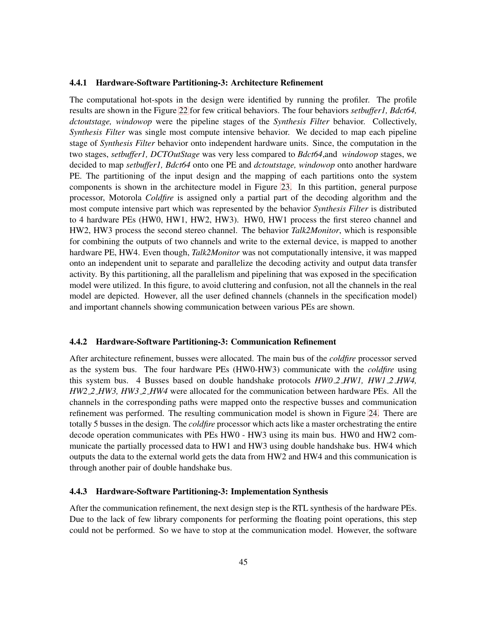#### <span id="page-51-0"></span>**4.4.1 Hardware-Software Partitioning-3: Architecture Refinement**

The computational hot-spots in the design were identified by running the profiler. The profile results are shown in the Figure [22](#page-51-0) for few critical behaviors. The four behaviors *setbuffer1, Bdct64, dctoutstage, windowop* were the pipeline stages of the *Synthesis Filter* behavior. Collectively, *Synthesis Filter* was single most compute intensive behavior. We decided to map each pipeline stage of *Synthesis Filter* behavior onto independent hardware units. Since, the computation in the two stages, *setbuffer1, DCTOutStage* was very less compared to *Bdct64*,and *windowop* stages, we decided to map *setbuffer1, Bdct64* onto one PE and *dctoutstage, windowop* onto another hardware PE. The partitioning of the input design and the mapping of each partitions onto the system components is shown in the architecture model in Figure [23.](#page-51-0) In this partition, general purpose processor, Motorola *Coldfire* is assigned only a partial part of the decoding algorithm and the most compute intensive part which was represented by the behavior *Synthesis Filter* is distributed to 4 hardware PEs (HW0, HW1, HW2, HW3). HW0, HW1 process the first stereo channel and HW2, HW3 process the second stereo channel. The behavior *Talk2Monitor*, which is responsible for combining the outputs of two channels and write to the external device, is mapped to another hardware PE, HW4. Even though, *Talk2Monitor* was not computationally intensive, it was mapped onto an independent unit to separate and parallelize the decoding activity and output data transfer activity. By this partitioning, all the parallelism and pipelining that was exposed in the specification model were utilized. In this figure, to avoid cluttering and confusion, not all the channels in the real model are depicted. However, all the user defined channels (channels in the specification model) and important channels showing communication between various PEs are shown.

#### <span id="page-51-1"></span>**4.4.2 Hardware-Software Partitioning-3: Communication Refinement**

After architecture refinement, busses were allocated. The main bus of the *coldfire* processor served as the system bus. The four hardware PEs (HW0-HW3) communicate with the *coldfire* using this system bus. 4 Busses based on double handshake protocols *HW0 2 HW1, HW1 2 HW4, HW2 2 HW3, HW3 2 HW4* were allocated for the communication between hardware PEs. All the channels in the corresponding paths were mapped onto the respective busses and communication refinement was performed. The resulting communication model is shown in Figure [24.](#page-51-1) There are totally 5 busses in the design. The *coldfire* processor which acts like a master orchestrating the entire decode operation communicates with PEs HW0 - HW3 using its main bus. HW0 and HW2 communicate the partially processed data to HW1 and HW3 using double handshake bus. HW4 which outputs the data to the external world gets the data from HW2 and HW4 and this communication is through another pair of double handshake bus.

## <span id="page-51-2"></span>**4.4.3 Hardware-Software Partitioning-3: Implementation Synthesis**

After the communication refinement, the next design step is the RTL synthesis of the hardware PEs. Due to the lack of few library components for performing the floating point operations, this step could not be performed. So we have to stop at the communication model. However, the software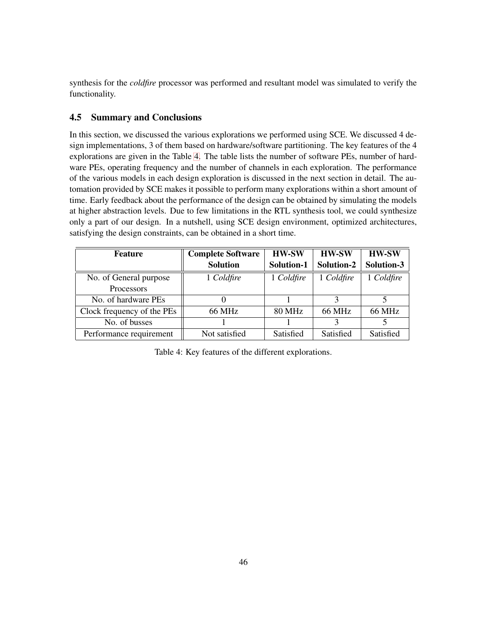synthesis for the *coldfire* processor was performed and resultant model was simulated to verify the functionality.

# <span id="page-52-0"></span>**4.5 Summary and Conclusions**

In this section, we discussed the various explorations we performed using SCE. We discussed 4 design implementations, 3 of them based on hardware/software partitioning. The key features of the 4 explorations are given in the Table [4.](#page-52-0) The table lists the number of software PEs, number of hardware PEs, operating frequency and the number of channels in each exploration. The performance of the various models in each design exploration is discussed in the next section in detail. The automation provided by SCE makes it possible to perform many explorations within a short amount of time. Early feedback about the performance of the design can be obtained by simulating the models at higher abstraction levels. Due to few limitations in the RTL synthesis tool, we could synthesize only a part of our design. In a nutshell, using SCE design environment, optimized architectures, satisfying the design constraints, can be obtained in a short time.

| <b>Feature</b>             | <b>Complete Software</b> | <b>HW-SW</b>  | <b>HW-SW</b>  | <b>HW-SW</b>  |
|----------------------------|--------------------------|---------------|---------------|---------------|
|                            | <b>Solution</b>          | Solution-1    | Solution-2    | Solution-3    |
| No. of General purpose     | 1 Coldfire               | 1 Coldfire    | 1 Coldfire    | 1 Coldfire    |
| Processors                 |                          |               |               |               |
| No. of hardware PEs        |                          |               |               |               |
| Clock frequency of the PEs | 66 MHz                   | <b>80 MHz</b> | <b>66 MHz</b> | <b>66 MHz</b> |
| No. of busses              |                          |               |               |               |
| Performance requirement    | Not satisfied            | Satisfied     | Satisfied     | Satisfied     |

Table 4: Key features of the different explorations.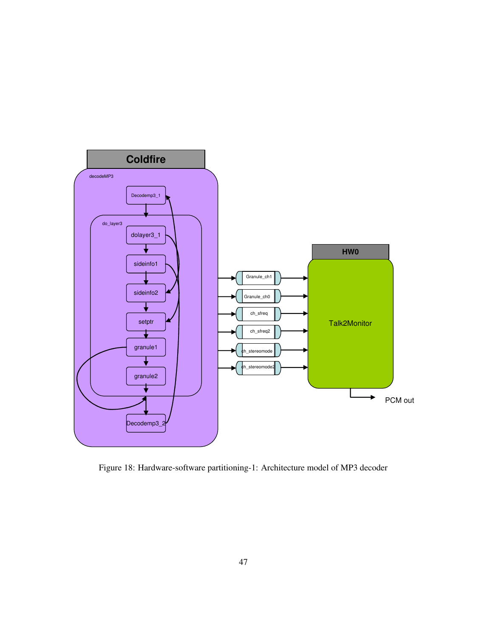

Figure 18: Hardware-software partitioning-1: Architecture model of MP3 decoder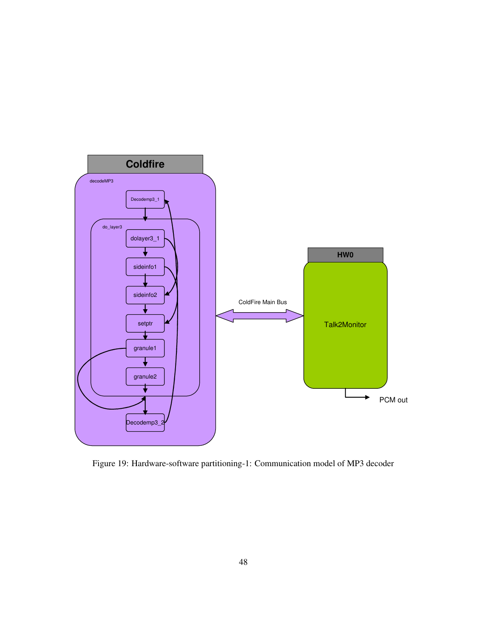

Figure 19: Hardware-software partitioning-1: Communication model of MP3 decoder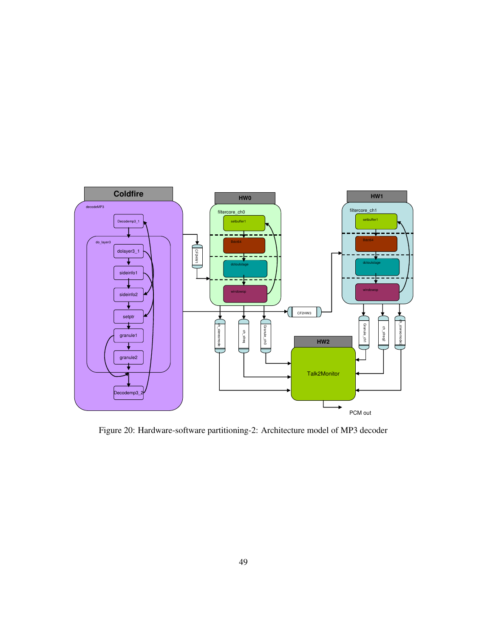

Figure 20: Hardware-software partitioning-2: Architecture model of MP3 decoder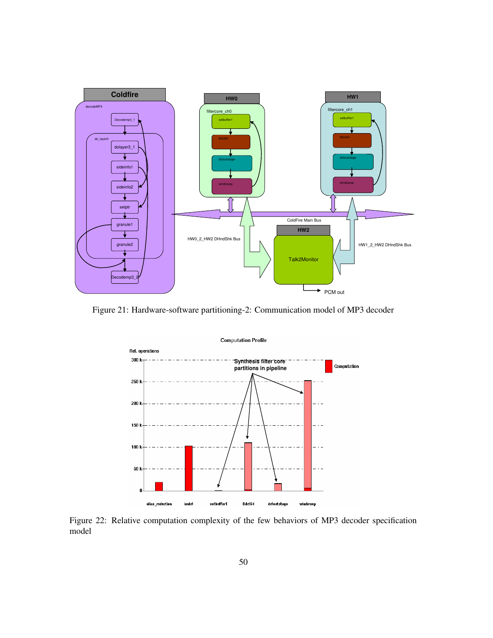

Figure 21: Hardware-software partitioning-2: Communication model of MP3 decoder



Figure 22: Relative computation complexity of the few behaviors of MP3 decoder specification model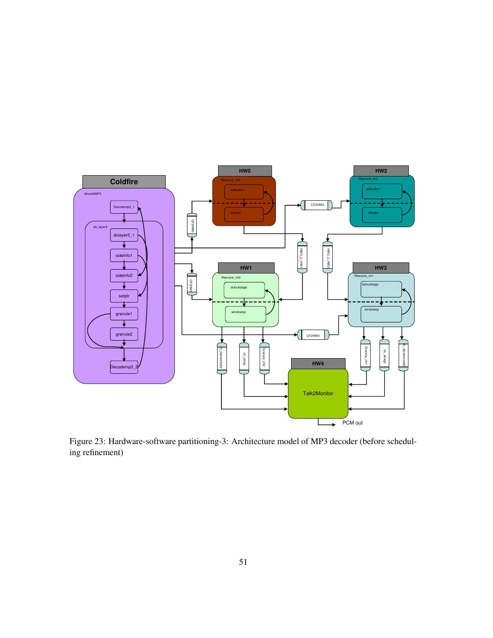

Figure 23: Hardware-software partitioning-3: Architecture model of MP3 decoder (before scheduling refinement)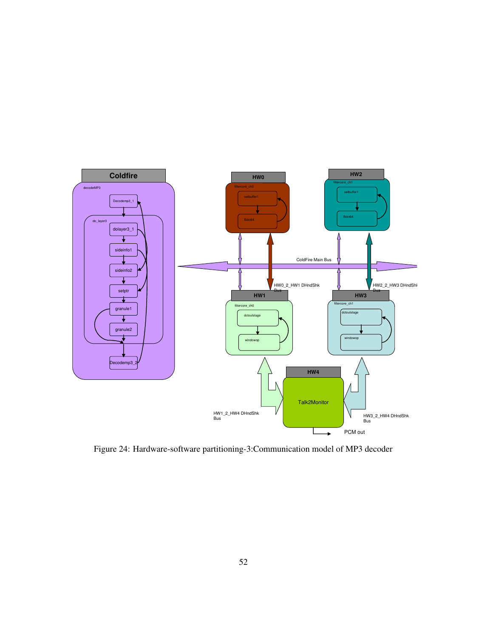

Figure 24: Hardware-software partitioning-3:Communication model of MP3 decoder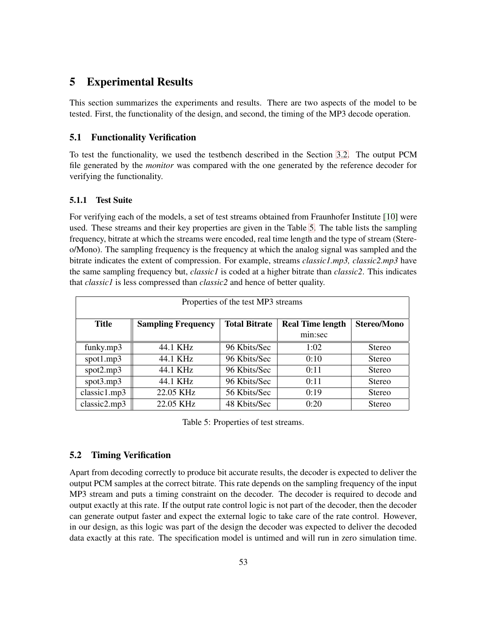# <span id="page-59-0"></span>**5 Experimental Results**

This section summarizes the experiments and results. There are two aspects of the model to be tested. First, the functionality of the design, and second, the timing of the MP3 decode operation.

# <span id="page-59-1"></span>**5.1 Functionality Verification**

To test the functionality, we used the testbench described in the Section [3.2.](#page-22-0) The output PCM file generated by the *monitor* was compared with the one generated by the reference decoder for verifying the functionality.

#### <span id="page-59-2"></span>**5.1.1 Test Suite**

For verifying each of the models, a set of test streams obtained from Fraunhofer Institute [\[10\]](#page-65-12) were used. These streams and their key properties are given in the Table [5.](#page-59-2) The table lists the sampling frequency, bitrate at which the streams were encoded, real time length and the type of stream (Stereo/Mono). The sampling frequency is the frequency at which the analog signal was sampled and the bitrate indicates the extent of compression. For example, streams *classic1.mp3, classic2.mp3* have the same sampling frequency but, *classic1* is coded at a higher bitrate than *classic2*. This indicates that *classic1* is less compressed than *classic2* and hence of better quality.

| Properties of the test MP3 streams |                                                                                                    |              |         |               |  |  |  |
|------------------------------------|----------------------------------------------------------------------------------------------------|--------------|---------|---------------|--|--|--|
| Title                              | <b>Total Bitrate</b><br><b>Real Time length</b><br><b>Stereo/Mono</b><br><b>Sampling Frequency</b> |              |         |               |  |  |  |
|                                    |                                                                                                    |              | min:sec |               |  |  |  |
| funky.mp3                          | 44.1 KHz                                                                                           | 96 Kbits/Sec | 1:02    | <b>Stereo</b> |  |  |  |
| $spot1$ .mp3                       | 44.1 KHz                                                                                           | 96 Kbits/Sec | 0:10    | <b>Stereo</b> |  |  |  |
| $spot2$ .mp3                       | 44.1 KHz                                                                                           | 96 Kbits/Sec | 0:11    | <b>Stereo</b> |  |  |  |
| spot3.mp3                          | 44.1 KHz                                                                                           | 96 Kbits/Sec | 0:11    | <b>Stereo</b> |  |  |  |
| classic1mp3                        | 22.05 KHz                                                                                          | 56 Kbits/Sec | 0:19    | <b>Stereo</b> |  |  |  |
| classic2mp3                        | 22.05 KHz                                                                                          | 48 Kbits/Sec | 0:20    | <b>Stereo</b> |  |  |  |

Table 5: Properties of test streams.

# <span id="page-59-3"></span>**5.2 Timing Verification**

Apart from decoding correctly to produce bit accurate results, the decoder is expected to deliver the output PCM samples at the correct bitrate. This rate depends on the sampling frequency of the input MP3 stream and puts a timing constraint on the decoder. The decoder is required to decode and output exactly at this rate. If the output rate control logic is not part of the decoder, then the decoder can generate output faster and expect the external logic to take care of the rate control. However, in our design, as this logic was part of the design the decoder was expected to deliver the decoded data exactly at this rate. The specification model is untimed and will run in zero simulation time.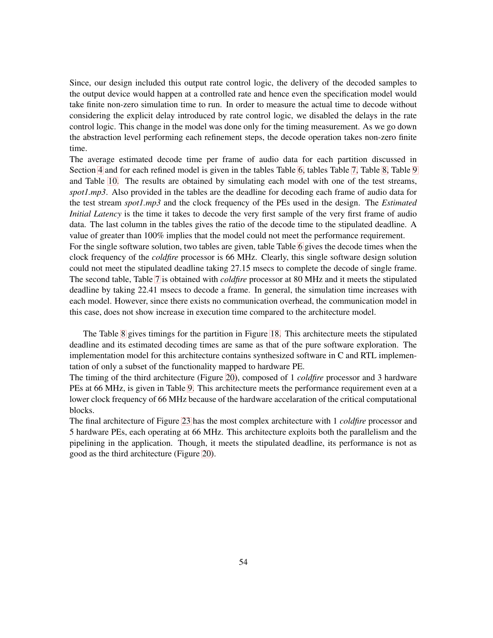Since, our design included this output rate control logic, the delivery of the decoded samples to the output device would happen at a controlled rate and hence even the specification model would take finite non-zero simulation time to run. In order to measure the actual time to decode without considering the explicit delay introduced by rate control logic, we disabled the delays in the rate control logic. This change in the model was done only for the timing measurement. As we go down the abstraction level performing each refinement steps, the decode operation takes non-zero finite time.

The average estimated decode time per frame of audio data for each partition discussed in Section [4](#page-47-0) and for each refined model is given in the tables Table [6,](#page-59-3) tables Table [7,](#page-59-3) Table [8,](#page-59-3) Table [9](#page-59-3) and Table [10.](#page-59-3) The results are obtained by simulating each model with one of the test streams, *spot1.mp3*. Also provided in the tables are the deadline for decoding each frame of audio data for the test stream *spot1.mp3* and the clock frequency of the PEs used in the design. The *Estimated Initial Latency* is the time it takes to decode the very first sample of the very first frame of audio data. The last column in the tables gives the ratio of the decode time to the stipulated deadline. A value of greater than 100% implies that the model could not meet the performance requirement.

For the single software solution, two tables are given, table Table [6](#page-59-3) gives the decode times when the clock frequency of the *coldfire* processor is 66 MHz. Clearly, this single software design solution could not meet the stipulated deadline taking 27.15 msecs to complete the decode of single frame. The second table, Table [7](#page-59-3) is obtained with *coldfire* processor at 80 MHz and it meets the stipulated deadline by taking 22.41 msecs to decode a frame. In general, the simulation time increases with each model. However, since there exists no communication overhead, the communication model in this case, does not show increase in execution time compared to the architecture model.

The Table [8](#page-59-3) gives timings for the partition in Figure [18.](#page-48-2) This architecture meets the stipulated deadline and its estimated decoding times are same as that of the pure software exploration. The implementation model for this architecture contains synthesized software in C and RTL implementation of only a subset of the functionality mapped to hardware PE.

The timing of the third architecture (Figure [20\)](#page-50-0), composed of 1 *coldfire* processor and 3 hardware PEs at 66 MHz, is given in Table [9.](#page-59-3) This architecture meets the performance requirement even at a lower clock frequency of 66 MHz because of the hardware accelaration of the critical computational blocks.

The final architecture of Figure [23](#page-51-0) has the most complex architecture with 1 *coldfire* processor and 5 hardware PEs, each operating at 66 MHz. This architecture exploits both the parallelism and the pipelining in the application. Though, it meets the stipulated deadline, its performance is not as good as the third architecture (Figure [20\)](#page-50-0).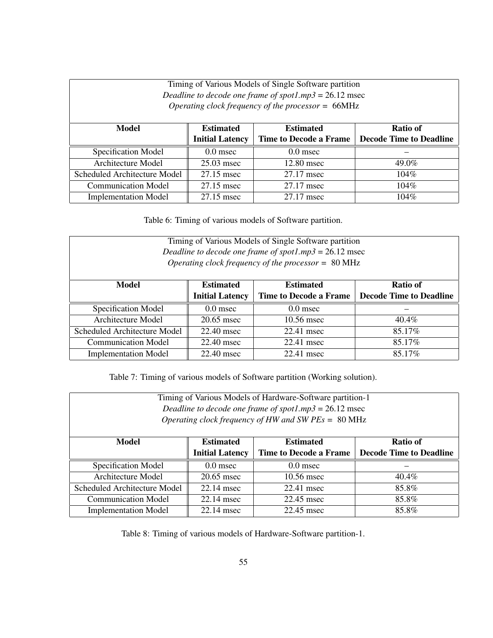| Timing of Various Models of Single Software partition<br>Deadline to decode one frame of spot1.mp3 = $26.12$ msec<br>Operating clock frequency of the processor = $66MHz$ |                                                  |                               |                                |  |  |  |
|---------------------------------------------------------------------------------------------------------------------------------------------------------------------------|--------------------------------------------------|-------------------------------|--------------------------------|--|--|--|
| Model                                                                                                                                                                     | <b>Estimated</b><br><b>Estimated</b><br>Ratio of |                               |                                |  |  |  |
|                                                                                                                                                                           | <b>Initial Latency</b>                           | <b>Time to Decode a Frame</b> | <b>Decode Time to Deadline</b> |  |  |  |
| Specification Model                                                                                                                                                       | $0.0$ msec                                       | $0.0$ msec                    |                                |  |  |  |
| Architecture Model                                                                                                                                                        | $25.03$ msec                                     | 12.80 msec                    | 49.0%                          |  |  |  |
| Scheduled Architecture Model                                                                                                                                              | 27.15 msec                                       | 27.17 msec                    | $104\%$                        |  |  |  |
| <b>Communication Model</b>                                                                                                                                                | 27.15 msec                                       | 27.17 msec                    | $104\%$                        |  |  |  |
| <b>Implementation Model</b>                                                                                                                                               | 27.15 msec                                       | 27.17 msec                    | $104\%$                        |  |  |  |

Table 6: Timing of various models of Software partition.

Timing of Various Models of Single Software partition *Deadline to decode one frame of spot1.mp3* = 26.12 msec *Operating clock frequency of the processor =* 80 MHz

| Model                        | <b>Estimated</b>       | <b>Estimated</b>              | Ratio of                       |
|------------------------------|------------------------|-------------------------------|--------------------------------|
|                              | <b>Initial Latency</b> | <b>Time to Decode a Frame</b> | <b>Decode Time to Deadline</b> |
| Specification Model          | $0.0$ msec             | $0.0$ msec                    |                                |
| Architecture Model           | $20.65$ msec           | 10.56 msec                    | $40.4\%$                       |
| Scheduled Architecture Model | 22.40 msec             | $22.41$ msec                  | 85.17%                         |
| <b>Communication Model</b>   | 22.40 msec             | 22.41 msec                    | 85.17%                         |
| <b>Implementation Model</b>  | 22.40 msec             | 22.41 msec                    | 85.17%                         |

Table 7: Timing of various models of Software partition (Working solution).

| Timing of Various Models of Hardware-Software partition-1<br>Deadline to decode one frame of spot1.mp3 = $26.12$ msec<br>Operating clock frequency of HW and SW $PEs = 80 \text{ MHz}$ |                                                  |            |          |  |  |  |
|----------------------------------------------------------------------------------------------------------------------------------------------------------------------------------------|--------------------------------------------------|------------|----------|--|--|--|
| Model                                                                                                                                                                                  | <b>Estimated</b><br><b>Estimated</b><br>Ratio of |            |          |  |  |  |
| <b>Initial Latency</b><br><b>Time to Decode a Frame</b><br><b>Decode Time to Deadline</b>                                                                                              |                                                  |            |          |  |  |  |
| Specification Model                                                                                                                                                                    | $0.0$ msec                                       | $0.0$ msec |          |  |  |  |
| Architecture Model                                                                                                                                                                     | $20.65$ msec                                     | 10.56 msec | $40.4\%$ |  |  |  |
| Scheduled Architecture Model                                                                                                                                                           | 22.14 msec                                       | 22.41 msec | 85.8%    |  |  |  |
| <b>Communication Model</b><br>$22.14$ msec<br>22.45 msec<br>85.8%                                                                                                                      |                                                  |            |          |  |  |  |
| <b>Implementation Model</b>                                                                                                                                                            | 22.14 msec                                       | 22.45 msec | 85.8%    |  |  |  |

Table 8: Timing of various models of Hardware-Software partition-1.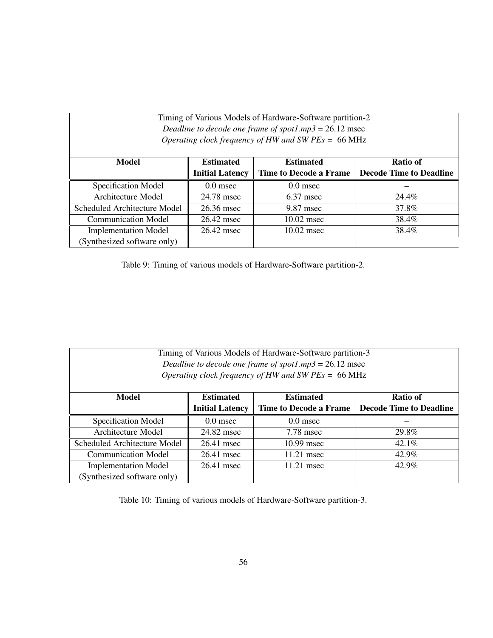| Timing of Various Models of Hardware-Software partition-2<br>Deadline to decode one frame of spot1.mp3 = $26.12$ msec<br>Operating clock frequency of HW and SW $PEs = 66 \text{ MHz}$ |                                                  |                               |                                |  |  |  |  |
|----------------------------------------------------------------------------------------------------------------------------------------------------------------------------------------|--------------------------------------------------|-------------------------------|--------------------------------|--|--|--|--|
| Model                                                                                                                                                                                  | Ratio of<br><b>Estimated</b><br><b>Estimated</b> |                               |                                |  |  |  |  |
|                                                                                                                                                                                        | <b>Initial Latency</b>                           | <b>Time to Decode a Frame</b> | <b>Decode Time to Deadline</b> |  |  |  |  |
| Specification Model                                                                                                                                                                    | $0.0$ msec                                       | $0.0$ msec                    |                                |  |  |  |  |
| Architecture Model                                                                                                                                                                     | 24.78 msec                                       | $6.37$ msec                   | 24.4%                          |  |  |  |  |
| Scheduled Architecture Model                                                                                                                                                           | 26.36 msec                                       | 9.87 msec                     | 37.8%                          |  |  |  |  |
| <b>Communication Model</b>                                                                                                                                                             | 26.42 msec                                       | $10.02$ msec                  | 38.4%                          |  |  |  |  |
| <b>Implementation Model</b>                                                                                                                                                            | 26.42 msec                                       | $10.02$ msec                  | 38.4%                          |  |  |  |  |
|                                                                                                                                                                                        | (Synthesized software only)                      |                               |                                |  |  |  |  |

Table 9: Timing of various models of Hardware-Software partition-2.

| Timing of Various Models of Hardware-Software partition-3     |                        |                               |                                |
|---------------------------------------------------------------|------------------------|-------------------------------|--------------------------------|
| Deadline to decode one frame of spot1.mp3 = $26.12$ msec      |                        |                               |                                |
| Operating clock frequency of HW and SW $PEs = 66 \text{ MHz}$ |                        |                               |                                |
|                                                               |                        |                               |                                |
| <b>Model</b>                                                  | <b>Estimated</b>       | <b>Estimated</b>              | Ratio of                       |
|                                                               | <b>Initial Latency</b> | <b>Time to Decode a Frame</b> | <b>Decode Time to Deadline</b> |
| Specification Model                                           | $0.0$ msec             | $0.0$ msec                    |                                |
| Architecture Model                                            | 24.82 msec             | 7.78 msec                     | 29.8%                          |
| Scheduled Architecture Model                                  | 26.41 msec             | $10.99$ msec                  | $42.1\%$                       |
| <b>Communication Model</b>                                    | 26.41 msec             | $11.21$ msec                  | 42.9%                          |
| <b>Implementation Model</b>                                   | 26.41 msec             | 11.21 msec                    | 42.9%                          |
| (Synthesized software only)                                   |                        |                               |                                |

Table 10: Timing of various models of Hardware-Software partition-3.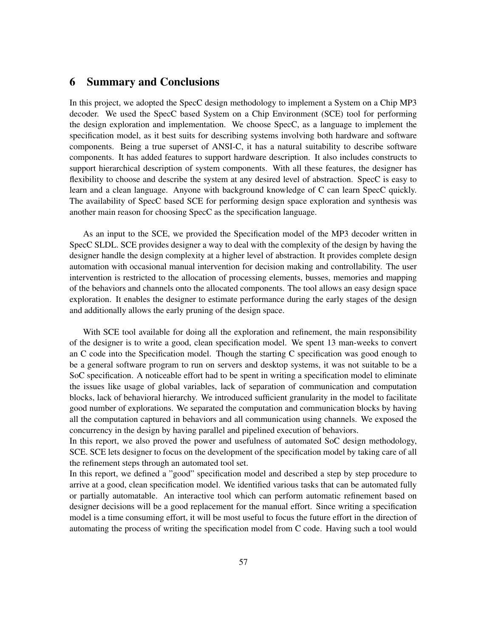# <span id="page-63-0"></span>**6 Summary and Conclusions**

In this project, we adopted the SpecC design methodology to implement a System on a Chip MP3 decoder. We used the SpecC based System on a Chip Environment (SCE) tool for performing the design exploration and implementation. We choose SpecC, as a language to implement the specification model, as it best suits for describing systems involving both hardware and software components. Being a true superset of ANSI-C, it has a natural suitability to describe software components. It has added features to support hardware description. It also includes constructs to support hierarchical description of system components. With all these features, the designer has flexibility to choose and describe the system at any desired level of abstraction. SpecC is easy to learn and a clean language. Anyone with background knowledge of C can learn SpecC quickly. The availability of SpecC based SCE for performing design space exploration and synthesis was another main reason for choosing SpecC as the specification language.

As an input to the SCE, we provided the Specification model of the MP3 decoder written in SpecC SLDL. SCE provides designer a way to deal with the complexity of the design by having the designer handle the design complexity at a higher level of abstraction. It provides complete design automation with occasional manual intervention for decision making and controllability. The user intervention is restricted to the allocation of processing elements, busses, memories and mapping of the behaviors and channels onto the allocated components. The tool allows an easy design space exploration. It enables the designer to estimate performance during the early stages of the design and additionally allows the early pruning of the design space.

With SCE tool available for doing all the exploration and refinement, the main responsibility of the designer is to write a good, clean specification model. We spent 13 man-weeks to convert an C code into the Specification model. Though the starting C specification was good enough to be a general software program to run on servers and desktop systems, it was not suitable to be a SoC specification. A noticeable effort had to be spent in writing a specification model to eliminate the issues like usage of global variables, lack of separation of communication and computation blocks, lack of behavioral hierarchy. We introduced sufficient granularity in the model to facilitate good number of explorations. We separated the computation and communication blocks by having all the computation captured in behaviors and all communication using channels. We exposed the concurrency in the design by having parallel and pipelined execution of behaviors.

In this report, we also proved the power and usefulness of automated SoC design methodology, SCE. SCE lets designer to focus on the development of the specification model by taking care of all the refinement steps through an automated tool set.

In this report, we defined a "good" specification model and described a step by step procedure to arrive at a good, clean specification model. We identified various tasks that can be automated fully or partially automatable. An interactive tool which can perform automatic refinement based on designer decisions will be a good replacement for the manual effort. Since writing a specification model is a time consuming effort, it will be most useful to focus the future effort in the direction of automating the process of writing the specification model from C code. Having such a tool would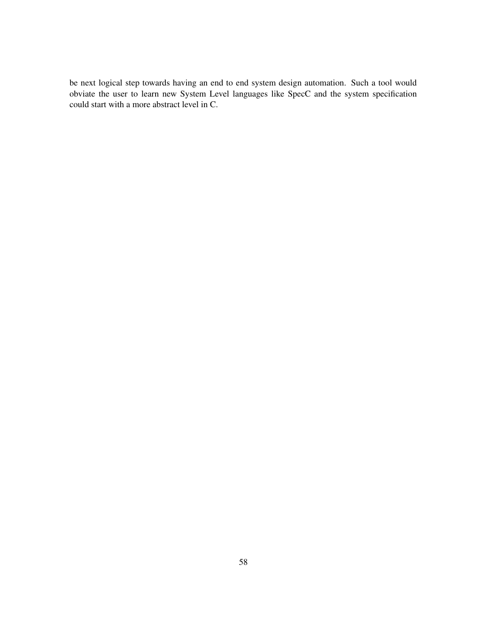be next logical step towards having an end to end system design automation. Such a tool would obviate the user to learn new System Level languages like SpecC and the system specification could start with a more abstract level in C.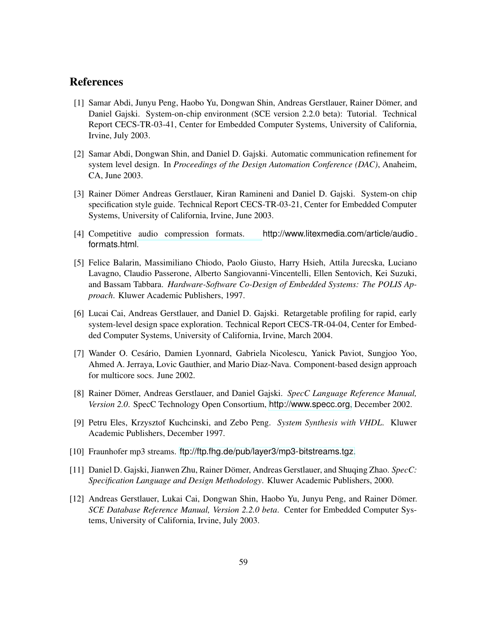# <span id="page-65-6"></span><span id="page-65-0"></span>**References**

- [1] Samar Abdi, Junyu Peng, Haobo Yu, Dongwan Shin, Andreas Gerstlauer, Rainer Dömer, and Daniel Gajski. System-on-chip environment (SCE version 2.2.0 beta): Tutorial. Technical Report CECS-TR-03-41, Center for Embedded Computer Systems, University of California, Irvine, July 2003.
- <span id="page-65-3"></span>[2] Samar Abdi, Dongwan Shin, and Daniel D. Gajski. Automatic communication refinement for system level design. In *Proceedings of the Design Automation Conference (DAC)*, Anaheim, CA, June 2003.
- <span id="page-65-11"></span>[3] Rainer Dömer Andreas Gerstlauer, Kiran Ramineni and Daniel D. Gajski. System-on chip specification style guide. Technical Report CECS-TR-03-21, Center for Embedded Computer Systems, University of California, Irvine, June 2003.
- <span id="page-65-9"></span><span id="page-65-4"></span>[4] Competitive audio compression formats. http://www.litexmedia.com/article/audio formats.html.
- [5] Felice Balarin, Massimiliano Chiodo, Paolo Giusto, Harry Hsieh, Attila Jurecska, Luciano Lavagno, Claudio Passerone, Alberto Sangiovanni-Vincentelli, Ellen Sentovich, Kei Suzuki, and Bassam Tabbara. *Hardware-Software Co-Design of Embedded Systems: The POLIS Approach*. Kluwer Academic Publishers, 1997.
- <span id="page-65-7"></span>[6] Lucai Cai, Andreas Gerstlauer, and Daniel D. Gajski. Retargetable profiling for rapid, early system-level design space exploration. Technical Report CECS-TR-04-04, Center for Embedded Computer Systems, University of California, Irvine, March 2004.
- <span id="page-65-5"></span>[7] Wander O. Cesário, Damien Lyonnard, Gabriela Nicolescu, Yanick Paviot, Sungjoo Yoo, Ahmed A. Jerraya, Lovic Gauthier, and Mario Diaz-Nava. Component-based design approach for multicore socs. June 2002.
- <span id="page-65-10"></span>[8] Rainer Dömer, Andreas Gerstlauer, and Daniel Gajski. *SpecC Language Reference Manual*, *Version 2.0*. SpecC Technology Open Consortium, <http://www.specc.org>, December 2002.
- <span id="page-65-1"></span>[9] Petru Eles, Krzysztof Kuchcinski, and Zebo Peng. *System Synthesis with VHDL*. Kluwer Academic Publishers, December 1997.
- <span id="page-65-12"></span><span id="page-65-2"></span>[10] Fraunhofer mp3 streams. <ftp://ftp.fhg.de/pub/layer3/mp3-bitstreams.tgz>.
- [11] Daniel D. Gajski, Jianwen Zhu, Rainer Dömer, Andreas Gerstlauer, and Shuqing Zhao. *SpecC*: *Specification Language and Design Methodology*. Kluwer Academic Publishers, 2000.
- <span id="page-65-8"></span>[12] Andreas Gerstlauer, Lukai Cai, Dongwan Shin, Haobo Yu, Junyu Peng, and Rainer Dömer. *SCE Database Reference Manual, Version 2.2.0 beta*. Center for Embedded Computer Systems, University of California, Irvine, July 2003.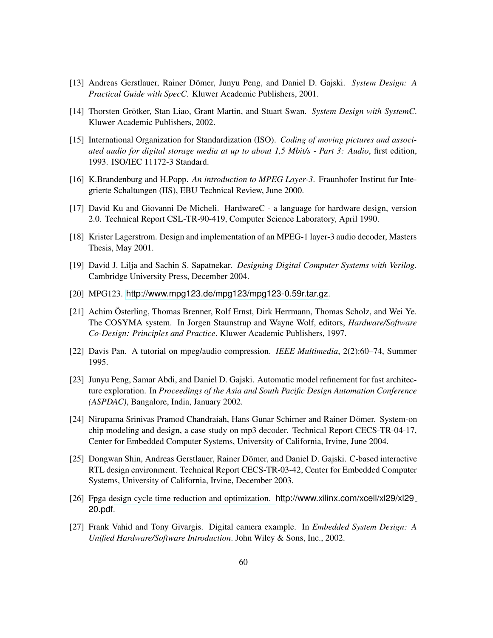- <span id="page-66-4"></span><span id="page-66-0"></span>[13] Andreas Gerstlauer, Rainer Dömer, Junyu Peng, and Daniel D. Gajski. *System Design: A Practical Guide with SpecC*. Kluwer Academic Publishers, 2001.
- <span id="page-66-12"></span>[14] Thorsten Grötker, Stan Liao, Grant Martin, and Stuart Swan. *System Design with SystemC*. Kluwer Academic Publishers, 2002.
- [15] International Organization for Standardization (ISO). *Coding of moving pictures and associated audio for digital storage media at up to about 1,5 Mbit/s - Part 3: Audio*, first edition, 1993. ISO/IEC 11172-3 Standard.
- <span id="page-66-11"></span><span id="page-66-3"></span>[16] K.Brandenburg and H.Popp. *An introduction to MPEG Layer-3*. Fraunhofer Instirut fur Integrierte Schaltungen (IIS), EBU Technical Review, June 2000.
- <span id="page-66-1"></span>[17] David Ku and Giovanni De Micheli. HardwareC - a language for hardware design, version 2.0. Technical Report CSL-TR-90-419, Computer Science Laboratory, April 1990.
- <span id="page-66-2"></span>[18] Krister Lagerstrom. Design and implementation of an MPEG-1 layer-3 audio decoder, Masters Thesis, May 2001.
- [19] David J. Lilja and Sachin S. Sapatnekar. *Designing Digital Computer Systems with Verilog*. Cambridge University Press, December 2004.
- <span id="page-66-14"></span><span id="page-66-7"></span>[20] MPG123. <http://www.mpg123.de/mpg123/mpg123-0.59r.tar.gz>.
- [21] Achim Osterling, Thomas Brenner, Rolf Ernst, Dirk Herrmann, Thomas Scholz, and Wei Ye. The COSYMA system. In Jorgen Staunstrup and Wayne Wolf, editors, *Hardware/Software Co-Design: Principles and Practice*. Kluwer Academic Publishers, 1997.
- <span id="page-66-13"></span><span id="page-66-5"></span>[22] Davis Pan. A tutorial on mpeg/audio compression. *IEEE Multimedia*, 2(2):60–74, Summer 1995.
- [23] Junyu Peng, Samar Abdi, and Daniel D. Gajski. Automatic model refinement for fast architecture exploration. In *Proceedings of the Asia and South Pacific Design Automation Conference (ASPDAC)*, Bangalore, India, January 2002.
- <span id="page-66-10"></span>[24] Nirupama Srinivas Pramod Chandraiah, Hans Gunar Schirner and Rainer Dömer. System-on chip modeling and design, a case study on mp3 decoder. Technical Report CECS-TR-04-17, Center for Embedded Computer Systems, University of California, Irvine, June 2004.
- <span id="page-66-6"></span>[25] Dongwan Shin, Andreas Gerstlauer, Rainer Dömer, and Daniel D. Gajski. C-based interactive RTL design environment. Technical Report CECS-TR-03-42, Center for Embedded Computer Systems, University of California, Irvine, December 2003.
- <span id="page-66-8"></span>[26] Fpga design cycle time reduction and optimization. http://www.xilinx.com/xcell/xl29/xl29 20.pdf.
- <span id="page-66-9"></span>[27] Frank Vahid and Tony Givargis. Digital camera example. In *Embedded System Design: A Unified Hardware/Software Introduction*. John Wiley & Sons, Inc., 2002.